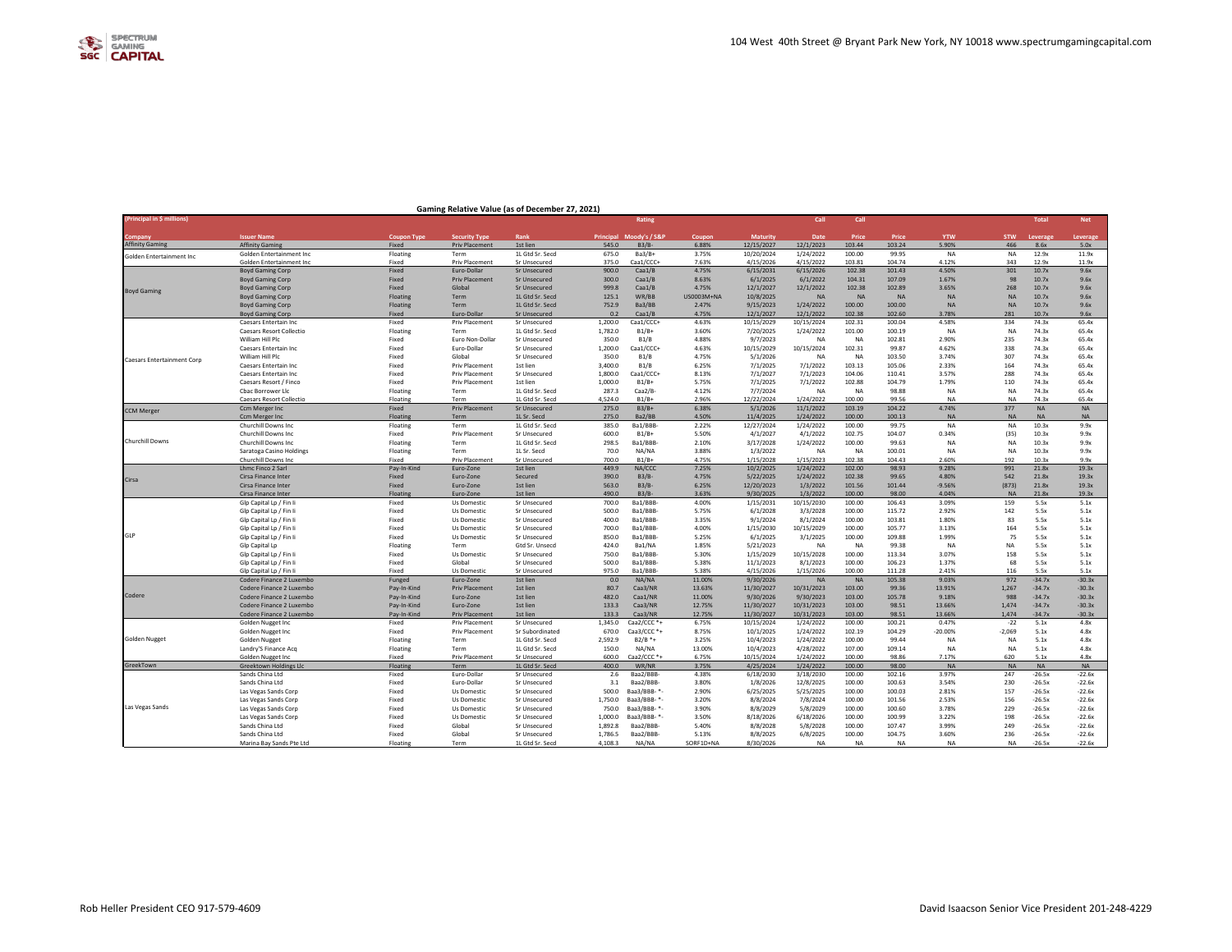| Company<br><b>Issuer Name</b><br><b>Coupon Type</b><br><b>Security Type</b><br>Rank<br>Principal Moody's / S&P<br>Coupon<br><b>Maturity</b><br>Date<br>Price<br>Price<br><b>YTW</b><br><b>STW</b><br>Leverage<br>Leverage<br><b>Affinity Gaming</b><br>6.88%<br>12/15/2027<br>12/1/2023<br>103.24<br>5.90%<br>466<br>Priv Placement<br>1st lien<br>545.0<br>B3/B<br>103.44<br>8.6x<br>5.0x<br><b>Affinity Gaming</b><br>Fixed<br>1L Gtd Sr. Secd<br>675.0<br>Ba3/B+<br>3.75%<br>10/20/2024<br>1/24/2022<br>100.00<br>99.95<br><b>NA</b><br><b>NA</b><br>12.9x<br>11.9x<br>Golden Entertainment Inc<br>Floating<br>Term<br>Golden Entertainment Inc<br>Golden Entertainment Inc.<br>Fixed<br>Priv Placement<br>Sr Unsecured<br>375.0<br>Caa1/CCC+<br>7.63%<br>4/15/2026<br>4/15/2022<br>103.81<br>104.74<br>4.12%<br>343<br>12.9x<br>11.9x<br>900.0<br>4.75%<br>6/15/2031<br>6/15/2026<br>102.38<br>101.43<br>4.50%<br>301<br>10.7x<br>9.6x<br><b>Boyd Gaming Corp</b><br>Fixed<br>Euro-Dollar<br><b>Sr Unsecured</b><br>Caa1/B<br>300.0<br>8.63%<br>6/1/2022<br>104.31<br>107.09<br>98<br>10.7x<br>9.6x<br><b>Boyd Gaming Corp</b><br>Fixed<br><b>Priv Placement</b><br>Sr Unsecured<br>Caa1/B<br>6/1/2025<br>1.67%<br>12/1/2022<br>102.38<br>268<br>Fixed<br>999.8<br>Caa1/B<br>4.75%<br>12/1/2027<br>102.89<br>3.65%<br>10.7x<br>9.6x<br><b>Boyd Gaming Corp</b><br>Global<br><b>Sr Unsecured</b><br><b>Boyd Gaming</b><br>WR/BB<br>US0003M+NA<br>10/8/2025<br><b>NA</b><br><b>NA</b><br><b>NA</b><br>10.7x<br>9.6x<br>Floating<br>Term<br>1L Gtd Sr. Secd<br>125.1<br><b>NA</b><br><b>NA</b><br><b>Boyd Gaming Corp</b><br>1/24/2022<br>Floating<br>752.9<br>Ba3/BB<br>2.47%<br>9/15/2023<br>100.00<br>100.00<br><b>NA</b><br><b>NA</b><br>10.7x<br>9.6x<br>Term<br>1L Gtd Sr. Secd<br><b>Boyd Gaming Corp</b><br>12/1/2027<br>102.38<br>281<br><b>Boyd Gaming Corp</b><br>Fixed<br>Euro-Dollar<br><b>Sr Unsecured</b><br>0.2<br>Caa1/B<br>4.75%<br>12/1/2022<br>102.60<br>3.78%<br>10.7x<br>9.6x<br>Fixed<br><b>Priv Placement</b><br>1,200.0<br>Caa1/CCC+<br>4.63%<br>10/15/2029<br>10/15/2024<br>102.31<br>100.04<br>4.58%<br>334<br>74.3x<br>65.4x<br><b>Caesars Entertain Inc.</b><br>Sr Unsecured<br><b>Caesars Resort Collectio</b><br>Floating<br>1L Gtd Sr. Secd<br>1.782.0<br>$B1/B+$<br>3.60%<br>7/20/2025<br>1/24/2022<br>101.00<br>100.19<br><b>NA</b><br><b>NA</b><br>74.3x<br>65.4x<br>Term<br>102.81<br>235<br>74.3x<br>William Hill Plc<br>Fixed<br>Euro Non-Dollar<br>Sr Unsecured<br>350.0<br>B1/B<br>4.88%<br>9/7/2023<br>NA<br><b>NA</b><br>2.90%<br>65.4x<br>Caa1/CCC+<br>4.63%<br>Fixed<br>1,200.0<br>10/15/2029<br>10/15/2024<br>102.31<br>99.87<br>4.62%<br>338<br>74.3x<br>65.4x<br>Caesars Entertain Inc<br>Euro-Dollar<br>Sr Unsecured<br>350.0<br>B1/B<br>4.75%<br>5/1/2026<br>NA<br>NA<br>103.50<br>3.74%<br>307<br>74.3x<br>65.4x<br>William Hill Plc<br>Fixed<br>Global<br>Sr Unsecured<br><b>Caesars Entertainment Corp</b><br>Fixed<br>Priv Placement<br>3,400.0<br>B1/B<br>6.25%<br>7/1/2025<br>7/1/2022<br>103.13<br>105.06<br>2.33%<br>164<br>74.3x<br>65.4x<br>Caesars Entertain Inc<br>1st lien<br>288<br>74.3x<br>Caesars Entertain Inc<br>Fixed<br><b>Priv Placement</b><br>Sr Unsecured<br>1.800.0<br>Caa1/CCC+<br>8.13%<br>7/1/2027<br>7/1/2023<br>104.06<br>110.41<br>3.57%<br>65.4x<br>102.88<br>74.3x<br>Caesars Resort / Finco<br>Fixed<br>Priv Placement<br>1st lien<br>1,000.0<br>$B1/B+$<br>5.75%<br>7/1/2025<br>7/1/2022<br>104.79<br>1.79%<br>110<br>65.4x<br>287.3<br>4.12%<br>7/7/2024<br>74.3x<br>Floating<br>Caa2/B-<br>NA<br><b>NA</b><br>98.88<br><b>NA</b><br>65.4x<br>Cbac Borrower Llc<br>Term<br>1L Gtd Sr. Secd<br><b>NA</b><br>4,524.0<br>2.96%<br>12/22/2024<br>1/24/2022<br>100.00<br><b>NA</b><br>74.3x<br>65.4x<br>Floating<br>1L Gtd Sr. Secd<br>$B1/B+$<br>99.56<br><b>NA</b><br><b>Caesars Resort Collectio</b><br>Term<br>$B3/B+$<br>6.38%<br>5/1/2026<br>11/1/2022<br>103.19<br>104.22<br>4.74%<br>377<br><b>NA</b><br><b>NA</b><br>Ccm Merger Inc<br>Fixed<br><b>Priv Placement</b><br><b>Sr Unsecured</b><br>275.0<br><b>CCM Merger</b><br>Ba2/BB<br>11/4/2025<br>100.00<br>Ccm Merger Inc<br>Floating<br>Term<br>1L Sr. Secd<br>275.0<br>4.50%<br>1/24/2022<br>100.13<br><b>NA</b><br>$N\Delta$<br><b>NA</b><br><b>NA</b><br>1L Gtd Sr. Secd<br>385.0<br>Ba1/BBB<br>2.22%<br>12/27/2024<br>1/24/2022<br>100.00<br>99.75<br><b>NA</b><br>10.3x<br>Churchill Downs Inc.<br>Floating<br>Term<br><b>NA</b><br>9.9x<br>Fixed<br>Priv Placement<br>Sr Unsecured<br>600.0<br>$B1/B+$<br>5.50%<br>4/1/2027<br>4/1/2022<br>102.75<br>104.07<br>0.34%<br>(35)<br>10.3x<br>9.9x<br>Churchill Downs Inc.<br>Churchill Downs<br>100.00<br>298.5<br>Ba1/BBB<br>2.10%<br>3/17/2028<br>1/24/2022<br>99.63<br><b>NA</b><br>10.3x<br>9.9x<br>Churchill Downs Inc<br>Floating<br>Term<br>1L Gtd Sr. Secd<br><b>NA</b><br>3.88%<br>1/3/2022<br>Floating<br>1L Sr. Secd<br>70.0<br>NA/NA<br>NA<br>NA<br>100.01<br><b>NA</b><br>NA<br>10.3x<br>9.9x<br>Saratoga Casino Holdings<br>Term<br>700.0<br>$B1/B+$<br>4.75%<br>1/15/2028<br>1/15/2023<br>102.38<br>104.43<br>2.60%<br>192<br>10.3x<br>9.9x<br>Churchill Downs Inc<br>Fixed<br>Priv Placement<br>Sr Unsecured<br>449.9<br>1/24/2022<br>102.00<br>98.93<br>21.8x<br>19.3x<br><b>Lhmc Finco 2 Sarl</b><br>Pay-In-Kind<br>Euro-Zone<br>1st lien<br>NA/CCC<br>7.25%<br>10/2/2025<br>9.28%<br>991<br>542<br>Cirsa Finance Inter<br>Fixed<br>390.0<br>$B3/B-$<br>4.75%<br>5/22/2025<br>1/24/2022<br>102.38<br>99.65<br>4.80%<br>21.8x<br>19.3x<br>Euro-Zone<br>Secured<br>Cirsa<br>563.0<br>$B3/B$ -<br>6.25%<br>12/20/2023<br>1/3/2022<br>101.56<br>101.44<br>(873)<br>21.8x<br>19.3x<br>Cirsa Finance Inter<br>Fixed<br>Euro-Zone<br>1st lien<br>$-9.56%$<br>Floating<br>490.0<br>$B3/B-$<br>3.63%<br>9/30/2025<br>1/3/2022<br>100.00<br>98.00<br>4.04%<br>21.8x<br>19.3x<br>Cirsa Finance Inter<br>Euro-Zone<br>1st lien<br><b>NA</b><br>Fixed<br>700.0<br>Ba1/BBB<br>4.00%<br>1/15/2031<br>10/15/2030<br>100.00<br>106.43<br>3.09%<br>159<br>5.5x<br>5.1x<br>Glp Capital Lp / Fin Ii<br>Us Domestic<br>Sr Unsecured<br>Fixed<br>Sr Unsecured<br>500.0<br>Ba1/BBB-<br>5.75%<br>6/1/2028<br>3/3/2028<br>100.00<br>115.72<br>2.92%<br>142<br>5.5x<br>5.1x<br>Glp Capital Lp / Fin Ii<br>Us Domestic<br>3.35%<br>9/1/2024<br>8/1/2024<br>100.00<br>103.81<br>83<br>5.5x<br>Glp Capital Lp / Fin Ii<br>Fixed<br>Us Domestic<br>Sr Unsecured<br>400.0<br>Ba1/BBB-<br>1.80%<br>5.1x<br>700.0<br>Ba1/BBB<br>4.00%<br>1/15/2030<br>10/15/2029<br>100.00<br>105.77<br>164<br>5.5x<br>Glp Capital Lp / Fin Ii<br>Fixed<br>Us Domestic<br>Sr Unsecured<br>3.13%<br>5.1x<br>GLP<br>850.0<br>Ba1/BBB-<br>5.25%<br>6/1/2025<br>3/1/2025<br>100.00<br>109.88<br>1.99%<br>75<br>5.5x<br>5.1x<br>Glp Capital Lp / Fin Ii<br>Fixed<br>Us Domestic<br>Sr Unsecured<br>1.85%<br>5/21/2023<br>99.38<br><b>NA</b><br>5.5x<br>5.1x<br>Floating<br>424.0<br>Ba1/NA<br><b>NA</b><br><b>NA</b><br><b>NA</b><br>Glp Capital Lp<br>Term<br>Gtd Sr. Unsecd<br>1/15/2029<br>158<br>Fixed<br>750.0<br>Ba1/BBB-<br>5.30%<br>10/15/2028<br>100.00<br>113.34<br>3.07%<br>5.5x<br>5.1x<br>Glp Capital Lp / Fin Ii<br>Us Domestic<br>Sr Unsecured<br>500.0<br>5.38%<br>100.00<br>68<br>5.5x<br>5.1x<br>Glp Capital Lp / Fin Ii<br>Fixed<br>Global<br>Sr Unsecured<br>Ba1/BBB<br>11/1/2023<br>8/1/2023<br>106.23<br>1.37%<br>975.0<br>Ba1/BBB<br>5.38%<br>4/15/2026<br>1/15/2026<br>100.00<br>111.28<br>116<br>5.5x<br>Glp Capital Lp / Fin Ii<br>Fixed<br>Us Domestic<br>Sr Unsecured<br>2.41%<br>5.1x<br>0.0<br>NA/NA<br>11.00%<br><b>NA</b><br>105.38<br>9.03%<br>972<br>$-34.7x$<br>$-30.3x$<br>Codere Finance 2 Luxembo<br>Funged<br>Euro-Zone<br>1st lien<br>9/30/2026<br><b>NA</b><br>10/31/2023<br>1,267<br>$-34.7x$<br>$-30.3x$<br>Codere Finance 2 Luxembo<br>Pay-In-Kind<br><b>Priv Placement</b><br>1st lien<br>80.7<br>Caa3/NR<br>13.63%<br>11/30/2027<br>103.00<br>99.36<br>13.91%<br>Codere<br>482.0<br>11.00%<br>9/30/2023<br>988<br>Caa1/NR<br>9/30/2026<br>103.00<br>105.78<br>9.18%<br>$-34.7x$<br>$-30.3x$<br>Codere Finance 2 Luxembo<br>Pay-In-Kind<br>Euro-Zone<br>1st lien<br>133.3<br>Caa3/NR<br>12.75%<br>11/30/2027<br>10/31/2023<br>103.00<br>98.51<br>13.66%<br>1,474<br>$-34.7x$<br>$-30.3x$<br>Codere Finance 2 Luxembo<br>Pay-In-Kind<br>Euro-Zone<br>1st lien<br>Codere Finance 2 Luxembo<br>Pay-In-Kind<br><b>Priv Placement</b><br>1st lien<br>133.3<br>Caa3/NR<br>12.75%<br>11/30/2027<br>10/31/2023<br>103.00<br>98.51<br>13.66%<br>1.474<br>$-34.7x$<br>$-30.3x$<br>1.345.0<br>Caa2/CCC *+<br>10/15/2024<br>1/24/2022<br>100.00<br>100.21<br>$-22$<br>5.1x<br>Golden Nugget Inc<br>Fixed<br><b>Priv Placement</b><br>Sr Unsecured<br>6.75%<br>0.47%<br>4.8x<br>Caa3/CCC *+<br>102.19<br>Golden Nugget Inc<br>Fixed<br>Priv Placement<br>Sr Subordinated<br>670.0<br>8.75%<br>10/1/2025<br>1/24/2022<br>104.29<br>$-20.00%$<br>$-2,069$<br>5.1x<br>4.8x<br><b>Golden Nugget</b><br>Floating<br>2,592.9<br>$B2/B$ *+<br>3.25%<br>10/4/2023<br>1/24/2022<br>100.00<br>99.44<br><b>NA</b><br><b>NA</b><br>5.1x<br>4.8x<br><b>Golden Nugget</b><br>Term<br>1L Gtd Sr. Secd<br>4/28/2022<br>NA/NA<br>13.00%<br>10/4/2023<br>107.00<br>109.14<br><b>NA</b><br>4.8x<br>Landry'S Finance Acq<br>Floating<br>1L Gtd Sr. Secd<br>150.0<br><b>NA</b><br>5.1x<br>Term<br>Fixed<br>Priv Placement<br>Sr Unsecured<br>600.0<br>Caa2/CCC *+<br>6.75%<br>10/15/2024<br>1/24/2022<br>100.00<br>98.86<br>7.17%<br>620<br>5.1x<br>4.8x<br>Golden Nugget Inc<br>GreekTown<br>Floatin<br>1L Gtd Sr. Secd<br>400.0<br>WR/NR<br>3.75%<br>4/25/2024<br>1/24/2022<br>100.00<br>98.00<br><b>NA</b><br><b>NA</b><br><b>NA</b><br><b>NA</b><br>Greektown Holdings Llc<br>Term<br>Sands China Ltd<br>Fixed<br>Euro-Dollar<br>2.6<br>Baa2/BBB-<br>4.38%<br>6/18/2030<br>3/18/2030<br>100.00<br>102.16<br>3.97%<br>247<br>$-26.5x$<br>$-22.6x$<br>Sr Unsecured<br>230<br>Sands China Ltd<br>Fixed<br>Euro-Dollar<br>Sr Unsecured<br>3.1<br>Baa2/BBB-<br>3.80%<br>1/8/2026<br>12/8/2025<br>100.00<br>100.63<br>3.54%<br>$-26.5x$<br>$-22.6x$<br>157<br>500.0<br>2.90%<br>6/25/2025<br>5/25/2025<br>100.00<br>100.03<br>2.81%<br>$-26.5x$<br>$-22.6x$<br>Fixed<br>Us Domestic<br>Sr Unsecured<br>Baa3/BBB- *-<br>Las Vegas Sands Corp<br>7/8/2024<br>156<br>Fixed<br>1,750.0<br>Baa3/BBB-*-<br>3.20%<br>8/8/2024<br>100.00<br>101.56<br>2.53%<br>$-26.5x$<br>$-22.6x$<br>Las Vegas Sands Corp<br>Us Domestic<br>Sr Unsecured<br>Las Vegas Sands<br>Baa3/BBB-*-<br>3.90%<br>8/8/2029<br>5/8/2029<br>100.00<br>100.60<br>3.78%<br>229<br>$-26.5x$<br>$-22.6x$<br>Fixed<br>Sr Unsecured<br>750.0<br>Las Vegas Sands Corp<br>Us Domestic<br>Fixed<br>1,000.0<br>Baa3/BBB-*-<br>3.50%<br>8/18/2026<br>6/18/2026<br>100.00<br>100.99<br>3.22%<br>198<br>$-26.5x$<br>$-22.6x$<br>Las Vegas Sands Corp<br>Us Domestic<br>Sr Unsecured<br>Sands China Ltd<br>Fixed<br>Global<br>1.892.8<br>Baa2/BBB-<br>5.40%<br>8/8/2028<br>5/8/2028<br>100.00<br>107.47<br>3.99%<br>249<br>$-26.5x$<br>$-22.6x$<br>Sr Unsecured<br>5.13%<br>8/8/2025<br>6/8/2025<br>100.00<br>104.75<br>3.60%<br>236<br>$-26.5x$<br>$-22.6x$<br>Sands China Ltd<br>Fixed<br>Global<br>Sr Unsecured<br>1,786.5<br>Baa2/BBB-<br>8/30/2026<br>Floating<br>1L Gtd Sr. Secd<br>4.108.3<br>NA/NA<br>SORF1D+NA<br><b>NA</b><br><b>NA</b><br>$-26.5x$<br>$-22.6x$<br>Marina Bay Sands Pte Ltd<br>Term<br><b>NA</b><br><b>NA</b><br><b>NA</b> | (Principal in \$ millions) |  |  | Rating |  | Call | Call |  | <b>Total</b> | <b>Net</b> |
|----------------------------------------------------------------------------------------------------------------------------------------------------------------------------------------------------------------------------------------------------------------------------------------------------------------------------------------------------------------------------------------------------------------------------------------------------------------------------------------------------------------------------------------------------------------------------------------------------------------------------------------------------------------------------------------------------------------------------------------------------------------------------------------------------------------------------------------------------------------------------------------------------------------------------------------------------------------------------------------------------------------------------------------------------------------------------------------------------------------------------------------------------------------------------------------------------------------------------------------------------------------------------------------------------------------------------------------------------------------------------------------------------------------------------------------------------------------------------------------------------------------------------------------------------------------------------------------------------------------------------------------------------------------------------------------------------------------------------------------------------------------------------------------------------------------------------------------------------------------------------------------------------------------------------------------------------------------------------------------------------------------------------------------------------------------------------------------------------------------------------------------------------------------------------------------------------------------------------------------------------------------------------------------------------------------------------------------------------------------------------------------------------------------------------------------------------------------------------------------------------------------------------------------------------------------------------------------------------------------------------------------------------------------------------------------------------------------------------------------------------------------------------------------------------------------------------------------------------------------------------------------------------------------------------------------------------------------------------------------------------------------------------------------------------------------------------------------------------------------------------------------------------------------------------------------------------------------------------------------------------------------------------------------------------------------------------------------------------------------------------------------------------------------------------------------------------------------------------------------------------------------------------------------------------------------------------------------------------------------------------------------------------------------------------------------------------------------------------------------------------------------------------------------------------------------------------------------------------------------------------------------------------------------------------------------------------------------------------------------------------------------------------------------------------------------------------------------------------------------------------------------------------------------------------------------------------------------------------------------------------------------------------------------------------------------------------------------------------------------------------------------------------------------------------------------------------------------------------------------------------------------------------------------------------------------------------------------------------------------------------------------------------------------------------------------------------------------------------------------------------------------------------------------------------------------------------------------------------------------------------------------------------------------------------------------------------------------------------------------------------------------------------------------------------------------------------------------------------------------------------------------------------------------------------------------------------------------------------------------------------------------------------------------------------------------------------------------------------------------------------------------------------------------------------------------------------------------------------------------------------------------------------------------------------------------------------------------------------------------------------------------------------------------------------------------------------------------------------------------------------------------------------------------------------------------------------------------------------------------------------------------------------------------------------------------------------------------------------------------------------------------------------------------------------------------------------------------------------------------------------------------------------------------------------------------------------------------------------------------------------------------------------------------------------------------------------------------------------------------------------------------------------------------------------------------------------------------------------------------------------------------------------------------------------------------------------------------------------------------------------------------------------------------------------------------------------------------------------------------------------------------------------------------------------------------------------------------------------------------------------------------------------------------------------------------------------------------------------------------------------------------------------------------------------------------------------------------------------------------------------------------------------------------------------------------------------------------------------------------------------------------------------------------------------------------------------------------------------------------------------------------------------------------------------------------------------------------------------------------------------------------------------------------------------------------------------------------------------------------------------------------------------------------------------------------------------------------------------------------------------------------------------------------------------------------------------------------------------------------------------------------------------------------------------------------------------------------------------------------------------------------------------------------------------------------------------------------------------------------------------------------------------------------------------------------------------------------------------------------------------------------------------------------------------------------------------------------------------------------------------------------------------------------------------------------------------------------------------------------------------------------------------------------------------------------------------------------------------------------------------------------------------------------------------------------------------------------------------------------------------------------------------------------------------------------------------------------------------------------------------------------------------------------------------------------------------------------------------------------------------------------------------------------------------------------------------------------------------------------------------------------------------------------------------------------------------------------------------------------------------------------------------------------------------------------------------------------------------------------------------------------------------------------------------------------------------------------------------------------------------------------------------------------------------------------------------------------------------------------------------------------------------------------------------------------------------------------------------------------------------------------------------------------------------------------------------------------------------------------------------------------------------------------------------------------------------------------------------------------------------------------------------------------------------------------------------------------------------------------------------------------------------------------------------------------------------------------------------------------------------------------------------------------------------------------------------------------------------------------------------------------------------------------------------------------------------------------------------------------------------------------------------------------------------------------------------------------------------------------------------------------------------------------------------------------------------------------------------------------------------------------------------------------------------------------------------------------------------------------------------------------------------------------------------------------------------------------------------------------------------------------------------------------------------------------------------------------------------------------------------------------------------------------------------------------------------------------------------------------------------------------------------------------------------------------------------------------------------------------------------------------------------------------------------------------------------------------------------|----------------------------|--|--|--------|--|------|------|--|--------------|------------|
|                                                                                                                                                                                                                                                                                                                                                                                                                                                                                                                                                                                                                                                                                                                                                                                                                                                                                                                                                                                                                                                                                                                                                                                                                                                                                                                                                                                                                                                                                                                                                                                                                                                                                                                                                                                                                                                                                                                                                                                                                                                                                                                                                                                                                                                                                                                                                                                                                                                                                                                                                                                                                                                                                                                                                                                                                                                                                                                                                                                                                                                                                                                                                                                                                                                                                                                                                                                                                                                                                                                                                                                                                                                                                                                                                                                                                                                                                                                                                                                                                                                                                                                                                                                                                                                                                                                                                                                                                                                                                                                                                                                                                                                                                                                                                                                                                                                                                                                                                                                                                                                                                                                                                                                                                                                                                                                                                                                                                                                                                                                                                                                                                                                                                                                                                                                                                                                                                                                                                                                                                                                                                                                                                                                                                                                                                                                                                                                                                                                                                                                                                                                                                                                                                                                                                                                                                                                                                                                                                                                                                                                                                                                                                                                                                                                                                                                                                                                                                                                                                                                                                                                                                                                                                                                                                                                                                                                                                                                                                                                                                                                                                                                                                                                                                                                                                                                                                                                                                                                                                                                                                                                                                                                                                                                                                                                                                                                                                                                                                                                                                                                                                                                                                                                                                                                                                                                                                                                                                                                                                                                                                                                                                                                                                                                                                                                                                                                                                                                                                                                                                                                                                                                                                                                                                                                                                                                                                                                                                                                                                                                                                                                                                                                                                                                                                                                                                                                                                                                                                                                                                                                                                                                                                                                                                                                                                                                                                                                                                                                                            |                            |  |  |        |  |      |      |  |              |            |
|                                                                                                                                                                                                                                                                                                                                                                                                                                                                                                                                                                                                                                                                                                                                                                                                                                                                                                                                                                                                                                                                                                                                                                                                                                                                                                                                                                                                                                                                                                                                                                                                                                                                                                                                                                                                                                                                                                                                                                                                                                                                                                                                                                                                                                                                                                                                                                                                                                                                                                                                                                                                                                                                                                                                                                                                                                                                                                                                                                                                                                                                                                                                                                                                                                                                                                                                                                                                                                                                                                                                                                                                                                                                                                                                                                                                                                                                                                                                                                                                                                                                                                                                                                                                                                                                                                                                                                                                                                                                                                                                                                                                                                                                                                                                                                                                                                                                                                                                                                                                                                                                                                                                                                                                                                                                                                                                                                                                                                                                                                                                                                                                                                                                                                                                                                                                                                                                                                                                                                                                                                                                                                                                                                                                                                                                                                                                                                                                                                                                                                                                                                                                                                                                                                                                                                                                                                                                                                                                                                                                                                                                                                                                                                                                                                                                                                                                                                                                                                                                                                                                                                                                                                                                                                                                                                                                                                                                                                                                                                                                                                                                                                                                                                                                                                                                                                                                                                                                                                                                                                                                                                                                                                                                                                                                                                                                                                                                                                                                                                                                                                                                                                                                                                                                                                                                                                                                                                                                                                                                                                                                                                                                                                                                                                                                                                                                                                                                                                                                                                                                                                                                                                                                                                                                                                                                                                                                                                                                                                                                                                                                                                                                                                                                                                                                                                                                                                                                                                                                                                                                                                                                                                                                                                                                                                                                                                                                                                                                                                                                            |                            |  |  |        |  |      |      |  |              |            |
|                                                                                                                                                                                                                                                                                                                                                                                                                                                                                                                                                                                                                                                                                                                                                                                                                                                                                                                                                                                                                                                                                                                                                                                                                                                                                                                                                                                                                                                                                                                                                                                                                                                                                                                                                                                                                                                                                                                                                                                                                                                                                                                                                                                                                                                                                                                                                                                                                                                                                                                                                                                                                                                                                                                                                                                                                                                                                                                                                                                                                                                                                                                                                                                                                                                                                                                                                                                                                                                                                                                                                                                                                                                                                                                                                                                                                                                                                                                                                                                                                                                                                                                                                                                                                                                                                                                                                                                                                                                                                                                                                                                                                                                                                                                                                                                                                                                                                                                                                                                                                                                                                                                                                                                                                                                                                                                                                                                                                                                                                                                                                                                                                                                                                                                                                                                                                                                                                                                                                                                                                                                                                                                                                                                                                                                                                                                                                                                                                                                                                                                                                                                                                                                                                                                                                                                                                                                                                                                                                                                                                                                                                                                                                                                                                                                                                                                                                                                                                                                                                                                                                                                                                                                                                                                                                                                                                                                                                                                                                                                                                                                                                                                                                                                                                                                                                                                                                                                                                                                                                                                                                                                                                                                                                                                                                                                                                                                                                                                                                                                                                                                                                                                                                                                                                                                                                                                                                                                                                                                                                                                                                                                                                                                                                                                                                                                                                                                                                                                                                                                                                                                                                                                                                                                                                                                                                                                                                                                                                                                                                                                                                                                                                                                                                                                                                                                                                                                                                                                                                                                                                                                                                                                                                                                                                                                                                                                                                                                                                                                                            |                            |  |  |        |  |      |      |  |              |            |
|                                                                                                                                                                                                                                                                                                                                                                                                                                                                                                                                                                                                                                                                                                                                                                                                                                                                                                                                                                                                                                                                                                                                                                                                                                                                                                                                                                                                                                                                                                                                                                                                                                                                                                                                                                                                                                                                                                                                                                                                                                                                                                                                                                                                                                                                                                                                                                                                                                                                                                                                                                                                                                                                                                                                                                                                                                                                                                                                                                                                                                                                                                                                                                                                                                                                                                                                                                                                                                                                                                                                                                                                                                                                                                                                                                                                                                                                                                                                                                                                                                                                                                                                                                                                                                                                                                                                                                                                                                                                                                                                                                                                                                                                                                                                                                                                                                                                                                                                                                                                                                                                                                                                                                                                                                                                                                                                                                                                                                                                                                                                                                                                                                                                                                                                                                                                                                                                                                                                                                                                                                                                                                                                                                                                                                                                                                                                                                                                                                                                                                                                                                                                                                                                                                                                                                                                                                                                                                                                                                                                                                                                                                                                                                                                                                                                                                                                                                                                                                                                                                                                                                                                                                                                                                                                                                                                                                                                                                                                                                                                                                                                                                                                                                                                                                                                                                                                                                                                                                                                                                                                                                                                                                                                                                                                                                                                                                                                                                                                                                                                                                                                                                                                                                                                                                                                                                                                                                                                                                                                                                                                                                                                                                                                                                                                                                                                                                                                                                                                                                                                                                                                                                                                                                                                                                                                                                                                                                                                                                                                                                                                                                                                                                                                                                                                                                                                                                                                                                                                                                                                                                                                                                                                                                                                                                                                                                                                                                                                                                                                            |                            |  |  |        |  |      |      |  |              |            |
|                                                                                                                                                                                                                                                                                                                                                                                                                                                                                                                                                                                                                                                                                                                                                                                                                                                                                                                                                                                                                                                                                                                                                                                                                                                                                                                                                                                                                                                                                                                                                                                                                                                                                                                                                                                                                                                                                                                                                                                                                                                                                                                                                                                                                                                                                                                                                                                                                                                                                                                                                                                                                                                                                                                                                                                                                                                                                                                                                                                                                                                                                                                                                                                                                                                                                                                                                                                                                                                                                                                                                                                                                                                                                                                                                                                                                                                                                                                                                                                                                                                                                                                                                                                                                                                                                                                                                                                                                                                                                                                                                                                                                                                                                                                                                                                                                                                                                                                                                                                                                                                                                                                                                                                                                                                                                                                                                                                                                                                                                                                                                                                                                                                                                                                                                                                                                                                                                                                                                                                                                                                                                                                                                                                                                                                                                                                                                                                                                                                                                                                                                                                                                                                                                                                                                                                                                                                                                                                                                                                                                                                                                                                                                                                                                                                                                                                                                                                                                                                                                                                                                                                                                                                                                                                                                                                                                                                                                                                                                                                                                                                                                                                                                                                                                                                                                                                                                                                                                                                                                                                                                                                                                                                                                                                                                                                                                                                                                                                                                                                                                                                                                                                                                                                                                                                                                                                                                                                                                                                                                                                                                                                                                                                                                                                                                                                                                                                                                                                                                                                                                                                                                                                                                                                                                                                                                                                                                                                                                                                                                                                                                                                                                                                                                                                                                                                                                                                                                                                                                                                                                                                                                                                                                                                                                                                                                                                                                                                                                                                                            |                            |  |  |        |  |      |      |  |              |            |
|                                                                                                                                                                                                                                                                                                                                                                                                                                                                                                                                                                                                                                                                                                                                                                                                                                                                                                                                                                                                                                                                                                                                                                                                                                                                                                                                                                                                                                                                                                                                                                                                                                                                                                                                                                                                                                                                                                                                                                                                                                                                                                                                                                                                                                                                                                                                                                                                                                                                                                                                                                                                                                                                                                                                                                                                                                                                                                                                                                                                                                                                                                                                                                                                                                                                                                                                                                                                                                                                                                                                                                                                                                                                                                                                                                                                                                                                                                                                                                                                                                                                                                                                                                                                                                                                                                                                                                                                                                                                                                                                                                                                                                                                                                                                                                                                                                                                                                                                                                                                                                                                                                                                                                                                                                                                                                                                                                                                                                                                                                                                                                                                                                                                                                                                                                                                                                                                                                                                                                                                                                                                                                                                                                                                                                                                                                                                                                                                                                                                                                                                                                                                                                                                                                                                                                                                                                                                                                                                                                                                                                                                                                                                                                                                                                                                                                                                                                                                                                                                                                                                                                                                                                                                                                                                                                                                                                                                                                                                                                                                                                                                                                                                                                                                                                                                                                                                                                                                                                                                                                                                                                                                                                                                                                                                                                                                                                                                                                                                                                                                                                                                                                                                                                                                                                                                                                                                                                                                                                                                                                                                                                                                                                                                                                                                                                                                                                                                                                                                                                                                                                                                                                                                                                                                                                                                                                                                                                                                                                                                                                                                                                                                                                                                                                                                                                                                                                                                                                                                                                                                                                                                                                                                                                                                                                                                                                                                                                                                                                                                            |                            |  |  |        |  |      |      |  |              |            |
|                                                                                                                                                                                                                                                                                                                                                                                                                                                                                                                                                                                                                                                                                                                                                                                                                                                                                                                                                                                                                                                                                                                                                                                                                                                                                                                                                                                                                                                                                                                                                                                                                                                                                                                                                                                                                                                                                                                                                                                                                                                                                                                                                                                                                                                                                                                                                                                                                                                                                                                                                                                                                                                                                                                                                                                                                                                                                                                                                                                                                                                                                                                                                                                                                                                                                                                                                                                                                                                                                                                                                                                                                                                                                                                                                                                                                                                                                                                                                                                                                                                                                                                                                                                                                                                                                                                                                                                                                                                                                                                                                                                                                                                                                                                                                                                                                                                                                                                                                                                                                                                                                                                                                                                                                                                                                                                                                                                                                                                                                                                                                                                                                                                                                                                                                                                                                                                                                                                                                                                                                                                                                                                                                                                                                                                                                                                                                                                                                                                                                                                                                                                                                                                                                                                                                                                                                                                                                                                                                                                                                                                                                                                                                                                                                                                                                                                                                                                                                                                                                                                                                                                                                                                                                                                                                                                                                                                                                                                                                                                                                                                                                                                                                                                                                                                                                                                                                                                                                                                                                                                                                                                                                                                                                                                                                                                                                                                                                                                                                                                                                                                                                                                                                                                                                                                                                                                                                                                                                                                                                                                                                                                                                                                                                                                                                                                                                                                                                                                                                                                                                                                                                                                                                                                                                                                                                                                                                                                                                                                                                                                                                                                                                                                                                                                                                                                                                                                                                                                                                                                                                                                                                                                                                                                                                                                                                                                                                                                                                                                                            |                            |  |  |        |  |      |      |  |              |            |
|                                                                                                                                                                                                                                                                                                                                                                                                                                                                                                                                                                                                                                                                                                                                                                                                                                                                                                                                                                                                                                                                                                                                                                                                                                                                                                                                                                                                                                                                                                                                                                                                                                                                                                                                                                                                                                                                                                                                                                                                                                                                                                                                                                                                                                                                                                                                                                                                                                                                                                                                                                                                                                                                                                                                                                                                                                                                                                                                                                                                                                                                                                                                                                                                                                                                                                                                                                                                                                                                                                                                                                                                                                                                                                                                                                                                                                                                                                                                                                                                                                                                                                                                                                                                                                                                                                                                                                                                                                                                                                                                                                                                                                                                                                                                                                                                                                                                                                                                                                                                                                                                                                                                                                                                                                                                                                                                                                                                                                                                                                                                                                                                                                                                                                                                                                                                                                                                                                                                                                                                                                                                                                                                                                                                                                                                                                                                                                                                                                                                                                                                                                                                                                                                                                                                                                                                                                                                                                                                                                                                                                                                                                                                                                                                                                                                                                                                                                                                                                                                                                                                                                                                                                                                                                                                                                                                                                                                                                                                                                                                                                                                                                                                                                                                                                                                                                                                                                                                                                                                                                                                                                                                                                                                                                                                                                                                                                                                                                                                                                                                                                                                                                                                                                                                                                                                                                                                                                                                                                                                                                                                                                                                                                                                                                                                                                                                                                                                                                                                                                                                                                                                                                                                                                                                                                                                                                                                                                                                                                                                                                                                                                                                                                                                                                                                                                                                                                                                                                                                                                                                                                                                                                                                                                                                                                                                                                                                                                                                                                                                            |                            |  |  |        |  |      |      |  |              |            |
|                                                                                                                                                                                                                                                                                                                                                                                                                                                                                                                                                                                                                                                                                                                                                                                                                                                                                                                                                                                                                                                                                                                                                                                                                                                                                                                                                                                                                                                                                                                                                                                                                                                                                                                                                                                                                                                                                                                                                                                                                                                                                                                                                                                                                                                                                                                                                                                                                                                                                                                                                                                                                                                                                                                                                                                                                                                                                                                                                                                                                                                                                                                                                                                                                                                                                                                                                                                                                                                                                                                                                                                                                                                                                                                                                                                                                                                                                                                                                                                                                                                                                                                                                                                                                                                                                                                                                                                                                                                                                                                                                                                                                                                                                                                                                                                                                                                                                                                                                                                                                                                                                                                                                                                                                                                                                                                                                                                                                                                                                                                                                                                                                                                                                                                                                                                                                                                                                                                                                                                                                                                                                                                                                                                                                                                                                                                                                                                                                                                                                                                                                                                                                                                                                                                                                                                                                                                                                                                                                                                                                                                                                                                                                                                                                                                                                                                                                                                                                                                                                                                                                                                                                                                                                                                                                                                                                                                                                                                                                                                                                                                                                                                                                                                                                                                                                                                                                                                                                                                                                                                                                                                                                                                                                                                                                                                                                                                                                                                                                                                                                                                                                                                                                                                                                                                                                                                                                                                                                                                                                                                                                                                                                                                                                                                                                                                                                                                                                                                                                                                                                                                                                                                                                                                                                                                                                                                                                                                                                                                                                                                                                                                                                                                                                                                                                                                                                                                                                                                                                                                                                                                                                                                                                                                                                                                                                                                                                                                                                                                                            |                            |  |  |        |  |      |      |  |              |            |
|                                                                                                                                                                                                                                                                                                                                                                                                                                                                                                                                                                                                                                                                                                                                                                                                                                                                                                                                                                                                                                                                                                                                                                                                                                                                                                                                                                                                                                                                                                                                                                                                                                                                                                                                                                                                                                                                                                                                                                                                                                                                                                                                                                                                                                                                                                                                                                                                                                                                                                                                                                                                                                                                                                                                                                                                                                                                                                                                                                                                                                                                                                                                                                                                                                                                                                                                                                                                                                                                                                                                                                                                                                                                                                                                                                                                                                                                                                                                                                                                                                                                                                                                                                                                                                                                                                                                                                                                                                                                                                                                                                                                                                                                                                                                                                                                                                                                                                                                                                                                                                                                                                                                                                                                                                                                                                                                                                                                                                                                                                                                                                                                                                                                                                                                                                                                                                                                                                                                                                                                                                                                                                                                                                                                                                                                                                                                                                                                                                                                                                                                                                                                                                                                                                                                                                                                                                                                                                                                                                                                                                                                                                                                                                                                                                                                                                                                                                                                                                                                                                                                                                                                                                                                                                                                                                                                                                                                                                                                                                                                                                                                                                                                                                                                                                                                                                                                                                                                                                                                                                                                                                                                                                                                                                                                                                                                                                                                                                                                                                                                                                                                                                                                                                                                                                                                                                                                                                                                                                                                                                                                                                                                                                                                                                                                                                                                                                                                                                                                                                                                                                                                                                                                                                                                                                                                                                                                                                                                                                                                                                                                                                                                                                                                                                                                                                                                                                                                                                                                                                                                                                                                                                                                                                                                                                                                                                                                                                                                                                                                            |                            |  |  |        |  |      |      |  |              |            |
|                                                                                                                                                                                                                                                                                                                                                                                                                                                                                                                                                                                                                                                                                                                                                                                                                                                                                                                                                                                                                                                                                                                                                                                                                                                                                                                                                                                                                                                                                                                                                                                                                                                                                                                                                                                                                                                                                                                                                                                                                                                                                                                                                                                                                                                                                                                                                                                                                                                                                                                                                                                                                                                                                                                                                                                                                                                                                                                                                                                                                                                                                                                                                                                                                                                                                                                                                                                                                                                                                                                                                                                                                                                                                                                                                                                                                                                                                                                                                                                                                                                                                                                                                                                                                                                                                                                                                                                                                                                                                                                                                                                                                                                                                                                                                                                                                                                                                                                                                                                                                                                                                                                                                                                                                                                                                                                                                                                                                                                                                                                                                                                                                                                                                                                                                                                                                                                                                                                                                                                                                                                                                                                                                                                                                                                                                                                                                                                                                                                                                                                                                                                                                                                                                                                                                                                                                                                                                                                                                                                                                                                                                                                                                                                                                                                                                                                                                                                                                                                                                                                                                                                                                                                                                                                                                                                                                                                                                                                                                                                                                                                                                                                                                                                                                                                                                                                                                                                                                                                                                                                                                                                                                                                                                                                                                                                                                                                                                                                                                                                                                                                                                                                                                                                                                                                                                                                                                                                                                                                                                                                                                                                                                                                                                                                                                                                                                                                                                                                                                                                                                                                                                                                                                                                                                                                                                                                                                                                                                                                                                                                                                                                                                                                                                                                                                                                                                                                                                                                                                                                                                                                                                                                                                                                                                                                                                                                                                                                                                                                                            |                            |  |  |        |  |      |      |  |              |            |
|                                                                                                                                                                                                                                                                                                                                                                                                                                                                                                                                                                                                                                                                                                                                                                                                                                                                                                                                                                                                                                                                                                                                                                                                                                                                                                                                                                                                                                                                                                                                                                                                                                                                                                                                                                                                                                                                                                                                                                                                                                                                                                                                                                                                                                                                                                                                                                                                                                                                                                                                                                                                                                                                                                                                                                                                                                                                                                                                                                                                                                                                                                                                                                                                                                                                                                                                                                                                                                                                                                                                                                                                                                                                                                                                                                                                                                                                                                                                                                                                                                                                                                                                                                                                                                                                                                                                                                                                                                                                                                                                                                                                                                                                                                                                                                                                                                                                                                                                                                                                                                                                                                                                                                                                                                                                                                                                                                                                                                                                                                                                                                                                                                                                                                                                                                                                                                                                                                                                                                                                                                                                                                                                                                                                                                                                                                                                                                                                                                                                                                                                                                                                                                                                                                                                                                                                                                                                                                                                                                                                                                                                                                                                                                                                                                                                                                                                                                                                                                                                                                                                                                                                                                                                                                                                                                                                                                                                                                                                                                                                                                                                                                                                                                                                                                                                                                                                                                                                                                                                                                                                                                                                                                                                                                                                                                                                                                                                                                                                                                                                                                                                                                                                                                                                                                                                                                                                                                                                                                                                                                                                                                                                                                                                                                                                                                                                                                                                                                                                                                                                                                                                                                                                                                                                                                                                                                                                                                                                                                                                                                                                                                                                                                                                                                                                                                                                                                                                                                                                                                                                                                                                                                                                                                                                                                                                                                                                                                                                                                                                            |                            |  |  |        |  |      |      |  |              |            |
|                                                                                                                                                                                                                                                                                                                                                                                                                                                                                                                                                                                                                                                                                                                                                                                                                                                                                                                                                                                                                                                                                                                                                                                                                                                                                                                                                                                                                                                                                                                                                                                                                                                                                                                                                                                                                                                                                                                                                                                                                                                                                                                                                                                                                                                                                                                                                                                                                                                                                                                                                                                                                                                                                                                                                                                                                                                                                                                                                                                                                                                                                                                                                                                                                                                                                                                                                                                                                                                                                                                                                                                                                                                                                                                                                                                                                                                                                                                                                                                                                                                                                                                                                                                                                                                                                                                                                                                                                                                                                                                                                                                                                                                                                                                                                                                                                                                                                                                                                                                                                                                                                                                                                                                                                                                                                                                                                                                                                                                                                                                                                                                                                                                                                                                                                                                                                                                                                                                                                                                                                                                                                                                                                                                                                                                                                                                                                                                                                                                                                                                                                                                                                                                                                                                                                                                                                                                                                                                                                                                                                                                                                                                                                                                                                                                                                                                                                                                                                                                                                                                                                                                                                                                                                                                                                                                                                                                                                                                                                                                                                                                                                                                                                                                                                                                                                                                                                                                                                                                                                                                                                                                                                                                                                                                                                                                                                                                                                                                                                                                                                                                                                                                                                                                                                                                                                                                                                                                                                                                                                                                                                                                                                                                                                                                                                                                                                                                                                                                                                                                                                                                                                                                                                                                                                                                                                                                                                                                                                                                                                                                                                                                                                                                                                                                                                                                                                                                                                                                                                                                                                                                                                                                                                                                                                                                                                                                                                                                                                                                                            |                            |  |  |        |  |      |      |  |              |            |
|                                                                                                                                                                                                                                                                                                                                                                                                                                                                                                                                                                                                                                                                                                                                                                                                                                                                                                                                                                                                                                                                                                                                                                                                                                                                                                                                                                                                                                                                                                                                                                                                                                                                                                                                                                                                                                                                                                                                                                                                                                                                                                                                                                                                                                                                                                                                                                                                                                                                                                                                                                                                                                                                                                                                                                                                                                                                                                                                                                                                                                                                                                                                                                                                                                                                                                                                                                                                                                                                                                                                                                                                                                                                                                                                                                                                                                                                                                                                                                                                                                                                                                                                                                                                                                                                                                                                                                                                                                                                                                                                                                                                                                                                                                                                                                                                                                                                                                                                                                                                                                                                                                                                                                                                                                                                                                                                                                                                                                                                                                                                                                                                                                                                                                                                                                                                                                                                                                                                                                                                                                                                                                                                                                                                                                                                                                                                                                                                                                                                                                                                                                                                                                                                                                                                                                                                                                                                                                                                                                                                                                                                                                                                                                                                                                                                                                                                                                                                                                                                                                                                                                                                                                                                                                                                                                                                                                                                                                                                                                                                                                                                                                                                                                                                                                                                                                                                                                                                                                                                                                                                                                                                                                                                                                                                                                                                                                                                                                                                                                                                                                                                                                                                                                                                                                                                                                                                                                                                                                                                                                                                                                                                                                                                                                                                                                                                                                                                                                                                                                                                                                                                                                                                                                                                                                                                                                                                                                                                                                                                                                                                                                                                                                                                                                                                                                                                                                                                                                                                                                                                                                                                                                                                                                                                                                                                                                                                                                                                                                                                            |                            |  |  |        |  |      |      |  |              |            |
|                                                                                                                                                                                                                                                                                                                                                                                                                                                                                                                                                                                                                                                                                                                                                                                                                                                                                                                                                                                                                                                                                                                                                                                                                                                                                                                                                                                                                                                                                                                                                                                                                                                                                                                                                                                                                                                                                                                                                                                                                                                                                                                                                                                                                                                                                                                                                                                                                                                                                                                                                                                                                                                                                                                                                                                                                                                                                                                                                                                                                                                                                                                                                                                                                                                                                                                                                                                                                                                                                                                                                                                                                                                                                                                                                                                                                                                                                                                                                                                                                                                                                                                                                                                                                                                                                                                                                                                                                                                                                                                                                                                                                                                                                                                                                                                                                                                                                                                                                                                                                                                                                                                                                                                                                                                                                                                                                                                                                                                                                                                                                                                                                                                                                                                                                                                                                                                                                                                                                                                                                                                                                                                                                                                                                                                                                                                                                                                                                                                                                                                                                                                                                                                                                                                                                                                                                                                                                                                                                                                                                                                                                                                                                                                                                                                                                                                                                                                                                                                                                                                                                                                                                                                                                                                                                                                                                                                                                                                                                                                                                                                                                                                                                                                                                                                                                                                                                                                                                                                                                                                                                                                                                                                                                                                                                                                                                                                                                                                                                                                                                                                                                                                                                                                                                                                                                                                                                                                                                                                                                                                                                                                                                                                                                                                                                                                                                                                                                                                                                                                                                                                                                                                                                                                                                                                                                                                                                                                                                                                                                                                                                                                                                                                                                                                                                                                                                                                                                                                                                                                                                                                                                                                                                                                                                                                                                                                                                                                                                                                                            |                            |  |  |        |  |      |      |  |              |            |
|                                                                                                                                                                                                                                                                                                                                                                                                                                                                                                                                                                                                                                                                                                                                                                                                                                                                                                                                                                                                                                                                                                                                                                                                                                                                                                                                                                                                                                                                                                                                                                                                                                                                                                                                                                                                                                                                                                                                                                                                                                                                                                                                                                                                                                                                                                                                                                                                                                                                                                                                                                                                                                                                                                                                                                                                                                                                                                                                                                                                                                                                                                                                                                                                                                                                                                                                                                                                                                                                                                                                                                                                                                                                                                                                                                                                                                                                                                                                                                                                                                                                                                                                                                                                                                                                                                                                                                                                                                                                                                                                                                                                                                                                                                                                                                                                                                                                                                                                                                                                                                                                                                                                                                                                                                                                                                                                                                                                                                                                                                                                                                                                                                                                                                                                                                                                                                                                                                                                                                                                                                                                                                                                                                                                                                                                                                                                                                                                                                                                                                                                                                                                                                                                                                                                                                                                                                                                                                                                                                                                                                                                                                                                                                                                                                                                                                                                                                                                                                                                                                                                                                                                                                                                                                                                                                                                                                                                                                                                                                                                                                                                                                                                                                                                                                                                                                                                                                                                                                                                                                                                                                                                                                                                                                                                                                                                                                                                                                                                                                                                                                                                                                                                                                                                                                                                                                                                                                                                                                                                                                                                                                                                                                                                                                                                                                                                                                                                                                                                                                                                                                                                                                                                                                                                                                                                                                                                                                                                                                                                                                                                                                                                                                                                                                                                                                                                                                                                                                                                                                                                                                                                                                                                                                                                                                                                                                                                                                                                                                                                            |                            |  |  |        |  |      |      |  |              |            |
|                                                                                                                                                                                                                                                                                                                                                                                                                                                                                                                                                                                                                                                                                                                                                                                                                                                                                                                                                                                                                                                                                                                                                                                                                                                                                                                                                                                                                                                                                                                                                                                                                                                                                                                                                                                                                                                                                                                                                                                                                                                                                                                                                                                                                                                                                                                                                                                                                                                                                                                                                                                                                                                                                                                                                                                                                                                                                                                                                                                                                                                                                                                                                                                                                                                                                                                                                                                                                                                                                                                                                                                                                                                                                                                                                                                                                                                                                                                                                                                                                                                                                                                                                                                                                                                                                                                                                                                                                                                                                                                                                                                                                                                                                                                                                                                                                                                                                                                                                                                                                                                                                                                                                                                                                                                                                                                                                                                                                                                                                                                                                                                                                                                                                                                                                                                                                                                                                                                                                                                                                                                                                                                                                                                                                                                                                                                                                                                                                                                                                                                                                                                                                                                                                                                                                                                                                                                                                                                                                                                                                                                                                                                                                                                                                                                                                                                                                                                                                                                                                                                                                                                                                                                                                                                                                                                                                                                                                                                                                                                                                                                                                                                                                                                                                                                                                                                                                                                                                                                                                                                                                                                                                                                                                                                                                                                                                                                                                                                                                                                                                                                                                                                                                                                                                                                                                                                                                                                                                                                                                                                                                                                                                                                                                                                                                                                                                                                                                                                                                                                                                                                                                                                                                                                                                                                                                                                                                                                                                                                                                                                                                                                                                                                                                                                                                                                                                                                                                                                                                                                                                                                                                                                                                                                                                                                                                                                                                                                                                                                                            |                            |  |  |        |  |      |      |  |              |            |
|                                                                                                                                                                                                                                                                                                                                                                                                                                                                                                                                                                                                                                                                                                                                                                                                                                                                                                                                                                                                                                                                                                                                                                                                                                                                                                                                                                                                                                                                                                                                                                                                                                                                                                                                                                                                                                                                                                                                                                                                                                                                                                                                                                                                                                                                                                                                                                                                                                                                                                                                                                                                                                                                                                                                                                                                                                                                                                                                                                                                                                                                                                                                                                                                                                                                                                                                                                                                                                                                                                                                                                                                                                                                                                                                                                                                                                                                                                                                                                                                                                                                                                                                                                                                                                                                                                                                                                                                                                                                                                                                                                                                                                                                                                                                                                                                                                                                                                                                                                                                                                                                                                                                                                                                                                                                                                                                                                                                                                                                                                                                                                                                                                                                                                                                                                                                                                                                                                                                                                                                                                                                                                                                                                                                                                                                                                                                                                                                                                                                                                                                                                                                                                                                                                                                                                                                                                                                                                                                                                                                                                                                                                                                                                                                                                                                                                                                                                                                                                                                                                                                                                                                                                                                                                                                                                                                                                                                                                                                                                                                                                                                                                                                                                                                                                                                                                                                                                                                                                                                                                                                                                                                                                                                                                                                                                                                                                                                                                                                                                                                                                                                                                                                                                                                                                                                                                                                                                                                                                                                                                                                                                                                                                                                                                                                                                                                                                                                                                                                                                                                                                                                                                                                                                                                                                                                                                                                                                                                                                                                                                                                                                                                                                                                                                                                                                                                                                                                                                                                                                                                                                                                                                                                                                                                                                                                                                                                                                                                                                                                            |                            |  |  |        |  |      |      |  |              |            |
|                                                                                                                                                                                                                                                                                                                                                                                                                                                                                                                                                                                                                                                                                                                                                                                                                                                                                                                                                                                                                                                                                                                                                                                                                                                                                                                                                                                                                                                                                                                                                                                                                                                                                                                                                                                                                                                                                                                                                                                                                                                                                                                                                                                                                                                                                                                                                                                                                                                                                                                                                                                                                                                                                                                                                                                                                                                                                                                                                                                                                                                                                                                                                                                                                                                                                                                                                                                                                                                                                                                                                                                                                                                                                                                                                                                                                                                                                                                                                                                                                                                                                                                                                                                                                                                                                                                                                                                                                                                                                                                                                                                                                                                                                                                                                                                                                                                                                                                                                                                                                                                                                                                                                                                                                                                                                                                                                                                                                                                                                                                                                                                                                                                                                                                                                                                                                                                                                                                                                                                                                                                                                                                                                                                                                                                                                                                                                                                                                                                                                                                                                                                                                                                                                                                                                                                                                                                                                                                                                                                                                                                                                                                                                                                                                                                                                                                                                                                                                                                                                                                                                                                                                                                                                                                                                                                                                                                                                                                                                                                                                                                                                                                                                                                                                                                                                                                                                                                                                                                                                                                                                                                                                                                                                                                                                                                                                                                                                                                                                                                                                                                                                                                                                                                                                                                                                                                                                                                                                                                                                                                                                                                                                                                                                                                                                                                                                                                                                                                                                                                                                                                                                                                                                                                                                                                                                                                                                                                                                                                                                                                                                                                                                                                                                                                                                                                                                                                                                                                                                                                                                                                                                                                                                                                                                                                                                                                                                                                                                                                                            |                            |  |  |        |  |      |      |  |              |            |
|                                                                                                                                                                                                                                                                                                                                                                                                                                                                                                                                                                                                                                                                                                                                                                                                                                                                                                                                                                                                                                                                                                                                                                                                                                                                                                                                                                                                                                                                                                                                                                                                                                                                                                                                                                                                                                                                                                                                                                                                                                                                                                                                                                                                                                                                                                                                                                                                                                                                                                                                                                                                                                                                                                                                                                                                                                                                                                                                                                                                                                                                                                                                                                                                                                                                                                                                                                                                                                                                                                                                                                                                                                                                                                                                                                                                                                                                                                                                                                                                                                                                                                                                                                                                                                                                                                                                                                                                                                                                                                                                                                                                                                                                                                                                                                                                                                                                                                                                                                                                                                                                                                                                                                                                                                                                                                                                                                                                                                                                                                                                                                                                                                                                                                                                                                                                                                                                                                                                                                                                                                                                                                                                                                                                                                                                                                                                                                                                                                                                                                                                                                                                                                                                                                                                                                                                                                                                                                                                                                                                                                                                                                                                                                                                                                                                                                                                                                                                                                                                                                                                                                                                                                                                                                                                                                                                                                                                                                                                                                                                                                                                                                                                                                                                                                                                                                                                                                                                                                                                                                                                                                                                                                                                                                                                                                                                                                                                                                                                                                                                                                                                                                                                                                                                                                                                                                                                                                                                                                                                                                                                                                                                                                                                                                                                                                                                                                                                                                                                                                                                                                                                                                                                                                                                                                                                                                                                                                                                                                                                                                                                                                                                                                                                                                                                                                                                                                                                                                                                                                                                                                                                                                                                                                                                                                                                                                                                                                                                                                                                            |                            |  |  |        |  |      |      |  |              |            |
|                                                                                                                                                                                                                                                                                                                                                                                                                                                                                                                                                                                                                                                                                                                                                                                                                                                                                                                                                                                                                                                                                                                                                                                                                                                                                                                                                                                                                                                                                                                                                                                                                                                                                                                                                                                                                                                                                                                                                                                                                                                                                                                                                                                                                                                                                                                                                                                                                                                                                                                                                                                                                                                                                                                                                                                                                                                                                                                                                                                                                                                                                                                                                                                                                                                                                                                                                                                                                                                                                                                                                                                                                                                                                                                                                                                                                                                                                                                                                                                                                                                                                                                                                                                                                                                                                                                                                                                                                                                                                                                                                                                                                                                                                                                                                                                                                                                                                                                                                                                                                                                                                                                                                                                                                                                                                                                                                                                                                                                                                                                                                                                                                                                                                                                                                                                                                                                                                                                                                                                                                                                                                                                                                                                                                                                                                                                                                                                                                                                                                                                                                                                                                                                                                                                                                                                                                                                                                                                                                                                                                                                                                                                                                                                                                                                                                                                                                                                                                                                                                                                                                                                                                                                                                                                                                                                                                                                                                                                                                                                                                                                                                                                                                                                                                                                                                                                                                                                                                                                                                                                                                                                                                                                                                                                                                                                                                                                                                                                                                                                                                                                                                                                                                                                                                                                                                                                                                                                                                                                                                                                                                                                                                                                                                                                                                                                                                                                                                                                                                                                                                                                                                                                                                                                                                                                                                                                                                                                                                                                                                                                                                                                                                                                                                                                                                                                                                                                                                                                                                                                                                                                                                                                                                                                                                                                                                                                                                                                                                                                                            |                            |  |  |        |  |      |      |  |              |            |
|                                                                                                                                                                                                                                                                                                                                                                                                                                                                                                                                                                                                                                                                                                                                                                                                                                                                                                                                                                                                                                                                                                                                                                                                                                                                                                                                                                                                                                                                                                                                                                                                                                                                                                                                                                                                                                                                                                                                                                                                                                                                                                                                                                                                                                                                                                                                                                                                                                                                                                                                                                                                                                                                                                                                                                                                                                                                                                                                                                                                                                                                                                                                                                                                                                                                                                                                                                                                                                                                                                                                                                                                                                                                                                                                                                                                                                                                                                                                                                                                                                                                                                                                                                                                                                                                                                                                                                                                                                                                                                                                                                                                                                                                                                                                                                                                                                                                                                                                                                                                                                                                                                                                                                                                                                                                                                                                                                                                                                                                                                                                                                                                                                                                                                                                                                                                                                                                                                                                                                                                                                                                                                                                                                                                                                                                                                                                                                                                                                                                                                                                                                                                                                                                                                                                                                                                                                                                                                                                                                                                                                                                                                                                                                                                                                                                                                                                                                                                                                                                                                                                                                                                                                                                                                                                                                                                                                                                                                                                                                                                                                                                                                                                                                                                                                                                                                                                                                                                                                                                                                                                                                                                                                                                                                                                                                                                                                                                                                                                                                                                                                                                                                                                                                                                                                                                                                                                                                                                                                                                                                                                                                                                                                                                                                                                                                                                                                                                                                                                                                                                                                                                                                                                                                                                                                                                                                                                                                                                                                                                                                                                                                                                                                                                                                                                                                                                                                                                                                                                                                                                                                                                                                                                                                                                                                                                                                                                                                                                                                                                            |                            |  |  |        |  |      |      |  |              |            |
|                                                                                                                                                                                                                                                                                                                                                                                                                                                                                                                                                                                                                                                                                                                                                                                                                                                                                                                                                                                                                                                                                                                                                                                                                                                                                                                                                                                                                                                                                                                                                                                                                                                                                                                                                                                                                                                                                                                                                                                                                                                                                                                                                                                                                                                                                                                                                                                                                                                                                                                                                                                                                                                                                                                                                                                                                                                                                                                                                                                                                                                                                                                                                                                                                                                                                                                                                                                                                                                                                                                                                                                                                                                                                                                                                                                                                                                                                                                                                                                                                                                                                                                                                                                                                                                                                                                                                                                                                                                                                                                                                                                                                                                                                                                                                                                                                                                                                                                                                                                                                                                                                                                                                                                                                                                                                                                                                                                                                                                                                                                                                                                                                                                                                                                                                                                                                                                                                                                                                                                                                                                                                                                                                                                                                                                                                                                                                                                                                                                                                                                                                                                                                                                                                                                                                                                                                                                                                                                                                                                                                                                                                                                                                                                                                                                                                                                                                                                                                                                                                                                                                                                                                                                                                                                                                                                                                                                                                                                                                                                                                                                                                                                                                                                                                                                                                                                                                                                                                                                                                                                                                                                                                                                                                                                                                                                                                                                                                                                                                                                                                                                                                                                                                                                                                                                                                                                                                                                                                                                                                                                                                                                                                                                                                                                                                                                                                                                                                                                                                                                                                                                                                                                                                                                                                                                                                                                                                                                                                                                                                                                                                                                                                                                                                                                                                                                                                                                                                                                                                                                                                                                                                                                                                                                                                                                                                                                                                                                                                                                                            |                            |  |  |        |  |      |      |  |              |            |
|                                                                                                                                                                                                                                                                                                                                                                                                                                                                                                                                                                                                                                                                                                                                                                                                                                                                                                                                                                                                                                                                                                                                                                                                                                                                                                                                                                                                                                                                                                                                                                                                                                                                                                                                                                                                                                                                                                                                                                                                                                                                                                                                                                                                                                                                                                                                                                                                                                                                                                                                                                                                                                                                                                                                                                                                                                                                                                                                                                                                                                                                                                                                                                                                                                                                                                                                                                                                                                                                                                                                                                                                                                                                                                                                                                                                                                                                                                                                                                                                                                                                                                                                                                                                                                                                                                                                                                                                                                                                                                                                                                                                                                                                                                                                                                                                                                                                                                                                                                                                                                                                                                                                                                                                                                                                                                                                                                                                                                                                                                                                                                                                                                                                                                                                                                                                                                                                                                                                                                                                                                                                                                                                                                                                                                                                                                                                                                                                                                                                                                                                                                                                                                                                                                                                                                                                                                                                                                                                                                                                                                                                                                                                                                                                                                                                                                                                                                                                                                                                                                                                                                                                                                                                                                                                                                                                                                                                                                                                                                                                                                                                                                                                                                                                                                                                                                                                                                                                                                                                                                                                                                                                                                                                                                                                                                                                                                                                                                                                                                                                                                                                                                                                                                                                                                                                                                                                                                                                                                                                                                                                                                                                                                                                                                                                                                                                                                                                                                                                                                                                                                                                                                                                                                                                                                                                                                                                                                                                                                                                                                                                                                                                                                                                                                                                                                                                                                                                                                                                                                                                                                                                                                                                                                                                                                                                                                                                                                                                                                                                            |                            |  |  |        |  |      |      |  |              |            |
|                                                                                                                                                                                                                                                                                                                                                                                                                                                                                                                                                                                                                                                                                                                                                                                                                                                                                                                                                                                                                                                                                                                                                                                                                                                                                                                                                                                                                                                                                                                                                                                                                                                                                                                                                                                                                                                                                                                                                                                                                                                                                                                                                                                                                                                                                                                                                                                                                                                                                                                                                                                                                                                                                                                                                                                                                                                                                                                                                                                                                                                                                                                                                                                                                                                                                                                                                                                                                                                                                                                                                                                                                                                                                                                                                                                                                                                                                                                                                                                                                                                                                                                                                                                                                                                                                                                                                                                                                                                                                                                                                                                                                                                                                                                                                                                                                                                                                                                                                                                                                                                                                                                                                                                                                                                                                                                                                                                                                                                                                                                                                                                                                                                                                                                                                                                                                                                                                                                                                                                                                                                                                                                                                                                                                                                                                                                                                                                                                                                                                                                                                                                                                                                                                                                                                                                                                                                                                                                                                                                                                                                                                                                                                                                                                                                                                                                                                                                                                                                                                                                                                                                                                                                                                                                                                                                                                                                                                                                                                                                                                                                                                                                                                                                                                                                                                                                                                                                                                                                                                                                                                                                                                                                                                                                                                                                                                                                                                                                                                                                                                                                                                                                                                                                                                                                                                                                                                                                                                                                                                                                                                                                                                                                                                                                                                                                                                                                                                                                                                                                                                                                                                                                                                                                                                                                                                                                                                                                                                                                                                                                                                                                                                                                                                                                                                                                                                                                                                                                                                                                                                                                                                                                                                                                                                                                                                                                                                                                                                                                                            |                            |  |  |        |  |      |      |  |              |            |
|                                                                                                                                                                                                                                                                                                                                                                                                                                                                                                                                                                                                                                                                                                                                                                                                                                                                                                                                                                                                                                                                                                                                                                                                                                                                                                                                                                                                                                                                                                                                                                                                                                                                                                                                                                                                                                                                                                                                                                                                                                                                                                                                                                                                                                                                                                                                                                                                                                                                                                                                                                                                                                                                                                                                                                                                                                                                                                                                                                                                                                                                                                                                                                                                                                                                                                                                                                                                                                                                                                                                                                                                                                                                                                                                                                                                                                                                                                                                                                                                                                                                                                                                                                                                                                                                                                                                                                                                                                                                                                                                                                                                                                                                                                                                                                                                                                                                                                                                                                                                                                                                                                                                                                                                                                                                                                                                                                                                                                                                                                                                                                                                                                                                                                                                                                                                                                                                                                                                                                                                                                                                                                                                                                                                                                                                                                                                                                                                                                                                                                                                                                                                                                                                                                                                                                                                                                                                                                                                                                                                                                                                                                                                                                                                                                                                                                                                                                                                                                                                                                                                                                                                                                                                                                                                                                                                                                                                                                                                                                                                                                                                                                                                                                                                                                                                                                                                                                                                                                                                                                                                                                                                                                                                                                                                                                                                                                                                                                                                                                                                                                                                                                                                                                                                                                                                                                                                                                                                                                                                                                                                                                                                                                                                                                                                                                                                                                                                                                                                                                                                                                                                                                                                                                                                                                                                                                                                                                                                                                                                                                                                                                                                                                                                                                                                                                                                                                                                                                                                                                                                                                                                                                                                                                                                                                                                                                                                                                                                                                                                            |                            |  |  |        |  |      |      |  |              |            |
|                                                                                                                                                                                                                                                                                                                                                                                                                                                                                                                                                                                                                                                                                                                                                                                                                                                                                                                                                                                                                                                                                                                                                                                                                                                                                                                                                                                                                                                                                                                                                                                                                                                                                                                                                                                                                                                                                                                                                                                                                                                                                                                                                                                                                                                                                                                                                                                                                                                                                                                                                                                                                                                                                                                                                                                                                                                                                                                                                                                                                                                                                                                                                                                                                                                                                                                                                                                                                                                                                                                                                                                                                                                                                                                                                                                                                                                                                                                                                                                                                                                                                                                                                                                                                                                                                                                                                                                                                                                                                                                                                                                                                                                                                                                                                                                                                                                                                                                                                                                                                                                                                                                                                                                                                                                                                                                                                                                                                                                                                                                                                                                                                                                                                                                                                                                                                                                                                                                                                                                                                                                                                                                                                                                                                                                                                                                                                                                                                                                                                                                                                                                                                                                                                                                                                                                                                                                                                                                                                                                                                                                                                                                                                                                                                                                                                                                                                                                                                                                                                                                                                                                                                                                                                                                                                                                                                                                                                                                                                                                                                                                                                                                                                                                                                                                                                                                                                                                                                                                                                                                                                                                                                                                                                                                                                                                                                                                                                                                                                                                                                                                                                                                                                                                                                                                                                                                                                                                                                                                                                                                                                                                                                                                                                                                                                                                                                                                                                                                                                                                                                                                                                                                                                                                                                                                                                                                                                                                                                                                                                                                                                                                                                                                                                                                                                                                                                                                                                                                                                                                                                                                                                                                                                                                                                                                                                                                                                                                                                                                                            |                            |  |  |        |  |      |      |  |              |            |
|                                                                                                                                                                                                                                                                                                                                                                                                                                                                                                                                                                                                                                                                                                                                                                                                                                                                                                                                                                                                                                                                                                                                                                                                                                                                                                                                                                                                                                                                                                                                                                                                                                                                                                                                                                                                                                                                                                                                                                                                                                                                                                                                                                                                                                                                                                                                                                                                                                                                                                                                                                                                                                                                                                                                                                                                                                                                                                                                                                                                                                                                                                                                                                                                                                                                                                                                                                                                                                                                                                                                                                                                                                                                                                                                                                                                                                                                                                                                                                                                                                                                                                                                                                                                                                                                                                                                                                                                                                                                                                                                                                                                                                                                                                                                                                                                                                                                                                                                                                                                                                                                                                                                                                                                                                                                                                                                                                                                                                                                                                                                                                                                                                                                                                                                                                                                                                                                                                                                                                                                                                                                                                                                                                                                                                                                                                                                                                                                                                                                                                                                                                                                                                                                                                                                                                                                                                                                                                                                                                                                                                                                                                                                                                                                                                                                                                                                                                                                                                                                                                                                                                                                                                                                                                                                                                                                                                                                                                                                                                                                                                                                                                                                                                                                                                                                                                                                                                                                                                                                                                                                                                                                                                                                                                                                                                                                                                                                                                                                                                                                                                                                                                                                                                                                                                                                                                                                                                                                                                                                                                                                                                                                                                                                                                                                                                                                                                                                                                                                                                                                                                                                                                                                                                                                                                                                                                                                                                                                                                                                                                                                                                                                                                                                                                                                                                                                                                                                                                                                                                                                                                                                                                                                                                                                                                                                                                                                                                                                                                                                            |                            |  |  |        |  |      |      |  |              |            |
|                                                                                                                                                                                                                                                                                                                                                                                                                                                                                                                                                                                                                                                                                                                                                                                                                                                                                                                                                                                                                                                                                                                                                                                                                                                                                                                                                                                                                                                                                                                                                                                                                                                                                                                                                                                                                                                                                                                                                                                                                                                                                                                                                                                                                                                                                                                                                                                                                                                                                                                                                                                                                                                                                                                                                                                                                                                                                                                                                                                                                                                                                                                                                                                                                                                                                                                                                                                                                                                                                                                                                                                                                                                                                                                                                                                                                                                                                                                                                                                                                                                                                                                                                                                                                                                                                                                                                                                                                                                                                                                                                                                                                                                                                                                                                                                                                                                                                                                                                                                                                                                                                                                                                                                                                                                                                                                                                                                                                                                                                                                                                                                                                                                                                                                                                                                                                                                                                                                                                                                                                                                                                                                                                                                                                                                                                                                                                                                                                                                                                                                                                                                                                                                                                                                                                                                                                                                                                                                                                                                                                                                                                                                                                                                                                                                                                                                                                                                                                                                                                                                                                                                                                                                                                                                                                                                                                                                                                                                                                                                                                                                                                                                                                                                                                                                                                                                                                                                                                                                                                                                                                                                                                                                                                                                                                                                                                                                                                                                                                                                                                                                                                                                                                                                                                                                                                                                                                                                                                                                                                                                                                                                                                                                                                                                                                                                                                                                                                                                                                                                                                                                                                                                                                                                                                                                                                                                                                                                                                                                                                                                                                                                                                                                                                                                                                                                                                                                                                                                                                                                                                                                                                                                                                                                                                                                                                                                                                                                                                                                                            |                            |  |  |        |  |      |      |  |              |            |
|                                                                                                                                                                                                                                                                                                                                                                                                                                                                                                                                                                                                                                                                                                                                                                                                                                                                                                                                                                                                                                                                                                                                                                                                                                                                                                                                                                                                                                                                                                                                                                                                                                                                                                                                                                                                                                                                                                                                                                                                                                                                                                                                                                                                                                                                                                                                                                                                                                                                                                                                                                                                                                                                                                                                                                                                                                                                                                                                                                                                                                                                                                                                                                                                                                                                                                                                                                                                                                                                                                                                                                                                                                                                                                                                                                                                                                                                                                                                                                                                                                                                                                                                                                                                                                                                                                                                                                                                                                                                                                                                                                                                                                                                                                                                                                                                                                                                                                                                                                                                                                                                                                                                                                                                                                                                                                                                                                                                                                                                                                                                                                                                                                                                                                                                                                                                                                                                                                                                                                                                                                                                                                                                                                                                                                                                                                                                                                                                                                                                                                                                                                                                                                                                                                                                                                                                                                                                                                                                                                                                                                                                                                                                                                                                                                                                                                                                                                                                                                                                                                                                                                                                                                                                                                                                                                                                                                                                                                                                                                                                                                                                                                                                                                                                                                                                                                                                                                                                                                                                                                                                                                                                                                                                                                                                                                                                                                                                                                                                                                                                                                                                                                                                                                                                                                                                                                                                                                                                                                                                                                                                                                                                                                                                                                                                                                                                                                                                                                                                                                                                                                                                                                                                                                                                                                                                                                                                                                                                                                                                                                                                                                                                                                                                                                                                                                                                                                                                                                                                                                                                                                                                                                                                                                                                                                                                                                                                                                                                                                                                            |                            |  |  |        |  |      |      |  |              |            |
|                                                                                                                                                                                                                                                                                                                                                                                                                                                                                                                                                                                                                                                                                                                                                                                                                                                                                                                                                                                                                                                                                                                                                                                                                                                                                                                                                                                                                                                                                                                                                                                                                                                                                                                                                                                                                                                                                                                                                                                                                                                                                                                                                                                                                                                                                                                                                                                                                                                                                                                                                                                                                                                                                                                                                                                                                                                                                                                                                                                                                                                                                                                                                                                                                                                                                                                                                                                                                                                                                                                                                                                                                                                                                                                                                                                                                                                                                                                                                                                                                                                                                                                                                                                                                                                                                                                                                                                                                                                                                                                                                                                                                                                                                                                                                                                                                                                                                                                                                                                                                                                                                                                                                                                                                                                                                                                                                                                                                                                                                                                                                                                                                                                                                                                                                                                                                                                                                                                                                                                                                                                                                                                                                                                                                                                                                                                                                                                                                                                                                                                                                                                                                                                                                                                                                                                                                                                                                                                                                                                                                                                                                                                                                                                                                                                                                                                                                                                                                                                                                                                                                                                                                                                                                                                                                                                                                                                                                                                                                                                                                                                                                                                                                                                                                                                                                                                                                                                                                                                                                                                                                                                                                                                                                                                                                                                                                                                                                                                                                                                                                                                                                                                                                                                                                                                                                                                                                                                                                                                                                                                                                                                                                                                                                                                                                                                                                                                                                                                                                                                                                                                                                                                                                                                                                                                                                                                                                                                                                                                                                                                                                                                                                                                                                                                                                                                                                                                                                                                                                                                                                                                                                                                                                                                                                                                                                                                                                                                                                                                                            |                            |  |  |        |  |      |      |  |              |            |
|                                                                                                                                                                                                                                                                                                                                                                                                                                                                                                                                                                                                                                                                                                                                                                                                                                                                                                                                                                                                                                                                                                                                                                                                                                                                                                                                                                                                                                                                                                                                                                                                                                                                                                                                                                                                                                                                                                                                                                                                                                                                                                                                                                                                                                                                                                                                                                                                                                                                                                                                                                                                                                                                                                                                                                                                                                                                                                                                                                                                                                                                                                                                                                                                                                                                                                                                                                                                                                                                                                                                                                                                                                                                                                                                                                                                                                                                                                                                                                                                                                                                                                                                                                                                                                                                                                                                                                                                                                                                                                                                                                                                                                                                                                                                                                                                                                                                                                                                                                                                                                                                                                                                                                                                                                                                                                                                                                                                                                                                                                                                                                                                                                                                                                                                                                                                                                                                                                                                                                                                                                                                                                                                                                                                                                                                                                                                                                                                                                                                                                                                                                                                                                                                                                                                                                                                                                                                                                                                                                                                                                                                                                                                                                                                                                                                                                                                                                                                                                                                                                                                                                                                                                                                                                                                                                                                                                                                                                                                                                                                                                                                                                                                                                                                                                                                                                                                                                                                                                                                                                                                                                                                                                                                                                                                                                                                                                                                                                                                                                                                                                                                                                                                                                                                                                                                                                                                                                                                                                                                                                                                                                                                                                                                                                                                                                                                                                                                                                                                                                                                                                                                                                                                                                                                                                                                                                                                                                                                                                                                                                                                                                                                                                                                                                                                                                                                                                                                                                                                                                                                                                                                                                                                                                                                                                                                                                                                                                                                                                                                            |                            |  |  |        |  |      |      |  |              |            |
|                                                                                                                                                                                                                                                                                                                                                                                                                                                                                                                                                                                                                                                                                                                                                                                                                                                                                                                                                                                                                                                                                                                                                                                                                                                                                                                                                                                                                                                                                                                                                                                                                                                                                                                                                                                                                                                                                                                                                                                                                                                                                                                                                                                                                                                                                                                                                                                                                                                                                                                                                                                                                                                                                                                                                                                                                                                                                                                                                                                                                                                                                                                                                                                                                                                                                                                                                                                                                                                                                                                                                                                                                                                                                                                                                                                                                                                                                                                                                                                                                                                                                                                                                                                                                                                                                                                                                                                                                                                                                                                                                                                                                                                                                                                                                                                                                                                                                                                                                                                                                                                                                                                                                                                                                                                                                                                                                                                                                                                                                                                                                                                                                                                                                                                                                                                                                                                                                                                                                                                                                                                                                                                                                                                                                                                                                                                                                                                                                                                                                                                                                                                                                                                                                                                                                                                                                                                                                                                                                                                                                                                                                                                                                                                                                                                                                                                                                                                                                                                                                                                                                                                                                                                                                                                                                                                                                                                                                                                                                                                                                                                                                                                                                                                                                                                                                                                                                                                                                                                                                                                                                                                                                                                                                                                                                                                                                                                                                                                                                                                                                                                                                                                                                                                                                                                                                                                                                                                                                                                                                                                                                                                                                                                                                                                                                                                                                                                                                                                                                                                                                                                                                                                                                                                                                                                                                                                                                                                                                                                                                                                                                                                                                                                                                                                                                                                                                                                                                                                                                                                                                                                                                                                                                                                                                                                                                                                                                                                                                                                                            |                            |  |  |        |  |      |      |  |              |            |
|                                                                                                                                                                                                                                                                                                                                                                                                                                                                                                                                                                                                                                                                                                                                                                                                                                                                                                                                                                                                                                                                                                                                                                                                                                                                                                                                                                                                                                                                                                                                                                                                                                                                                                                                                                                                                                                                                                                                                                                                                                                                                                                                                                                                                                                                                                                                                                                                                                                                                                                                                                                                                                                                                                                                                                                                                                                                                                                                                                                                                                                                                                                                                                                                                                                                                                                                                                                                                                                                                                                                                                                                                                                                                                                                                                                                                                                                                                                                                                                                                                                                                                                                                                                                                                                                                                                                                                                                                                                                                                                                                                                                                                                                                                                                                                                                                                                                                                                                                                                                                                                                                                                                                                                                                                                                                                                                                                                                                                                                                                                                                                                                                                                                                                                                                                                                                                                                                                                                                                                                                                                                                                                                                                                                                                                                                                                                                                                                                                                                                                                                                                                                                                                                                                                                                                                                                                                                                                                                                                                                                                                                                                                                                                                                                                                                                                                                                                                                                                                                                                                                                                                                                                                                                                                                                                                                                                                                                                                                                                                                                                                                                                                                                                                                                                                                                                                                                                                                                                                                                                                                                                                                                                                                                                                                                                                                                                                                                                                                                                                                                                                                                                                                                                                                                                                                                                                                                                                                                                                                                                                                                                                                                                                                                                                                                                                                                                                                                                                                                                                                                                                                                                                                                                                                                                                                                                                                                                                                                                                                                                                                                                                                                                                                                                                                                                                                                                                                                                                                                                                                                                                                                                                                                                                                                                                                                                                                                                                                                                                                            |                            |  |  |        |  |      |      |  |              |            |
|                                                                                                                                                                                                                                                                                                                                                                                                                                                                                                                                                                                                                                                                                                                                                                                                                                                                                                                                                                                                                                                                                                                                                                                                                                                                                                                                                                                                                                                                                                                                                                                                                                                                                                                                                                                                                                                                                                                                                                                                                                                                                                                                                                                                                                                                                                                                                                                                                                                                                                                                                                                                                                                                                                                                                                                                                                                                                                                                                                                                                                                                                                                                                                                                                                                                                                                                                                                                                                                                                                                                                                                                                                                                                                                                                                                                                                                                                                                                                                                                                                                                                                                                                                                                                                                                                                                                                                                                                                                                                                                                                                                                                                                                                                                                                                                                                                                                                                                                                                                                                                                                                                                                                                                                                                                                                                                                                                                                                                                                                                                                                                                                                                                                                                                                                                                                                                                                                                                                                                                                                                                                                                                                                                                                                                                                                                                                                                                                                                                                                                                                                                                                                                                                                                                                                                                                                                                                                                                                                                                                                                                                                                                                                                                                                                                                                                                                                                                                                                                                                                                                                                                                                                                                                                                                                                                                                                                                                                                                                                                                                                                                                                                                                                                                                                                                                                                                                                                                                                                                                                                                                                                                                                                                                                                                                                                                                                                                                                                                                                                                                                                                                                                                                                                                                                                                                                                                                                                                                                                                                                                                                                                                                                                                                                                                                                                                                                                                                                                                                                                                                                                                                                                                                                                                                                                                                                                                                                                                                                                                                                                                                                                                                                                                                                                                                                                                                                                                                                                                                                                                                                                                                                                                                                                                                                                                                                                                                                                                                                                                            |                            |  |  |        |  |      |      |  |              |            |
|                                                                                                                                                                                                                                                                                                                                                                                                                                                                                                                                                                                                                                                                                                                                                                                                                                                                                                                                                                                                                                                                                                                                                                                                                                                                                                                                                                                                                                                                                                                                                                                                                                                                                                                                                                                                                                                                                                                                                                                                                                                                                                                                                                                                                                                                                                                                                                                                                                                                                                                                                                                                                                                                                                                                                                                                                                                                                                                                                                                                                                                                                                                                                                                                                                                                                                                                                                                                                                                                                                                                                                                                                                                                                                                                                                                                                                                                                                                                                                                                                                                                                                                                                                                                                                                                                                                                                                                                                                                                                                                                                                                                                                                                                                                                                                                                                                                                                                                                                                                                                                                                                                                                                                                                                                                                                                                                                                                                                                                                                                                                                                                                                                                                                                                                                                                                                                                                                                                                                                                                                                                                                                                                                                                                                                                                                                                                                                                                                                                                                                                                                                                                                                                                                                                                                                                                                                                                                                                                                                                                                                                                                                                                                                                                                                                                                                                                                                                                                                                                                                                                                                                                                                                                                                                                                                                                                                                                                                                                                                                                                                                                                                                                                                                                                                                                                                                                                                                                                                                                                                                                                                                                                                                                                                                                                                                                                                                                                                                                                                                                                                                                                                                                                                                                                                                                                                                                                                                                                                                                                                                                                                                                                                                                                                                                                                                                                                                                                                                                                                                                                                                                                                                                                                                                                                                                                                                                                                                                                                                                                                                                                                                                                                                                                                                                                                                                                                                                                                                                                                                                                                                                                                                                                                                                                                                                                                                                                                                                                                                                            |                            |  |  |        |  |      |      |  |              |            |
|                                                                                                                                                                                                                                                                                                                                                                                                                                                                                                                                                                                                                                                                                                                                                                                                                                                                                                                                                                                                                                                                                                                                                                                                                                                                                                                                                                                                                                                                                                                                                                                                                                                                                                                                                                                                                                                                                                                                                                                                                                                                                                                                                                                                                                                                                                                                                                                                                                                                                                                                                                                                                                                                                                                                                                                                                                                                                                                                                                                                                                                                                                                                                                                                                                                                                                                                                                                                                                                                                                                                                                                                                                                                                                                                                                                                                                                                                                                                                                                                                                                                                                                                                                                                                                                                                                                                                                                                                                                                                                                                                                                                                                                                                                                                                                                                                                                                                                                                                                                                                                                                                                                                                                                                                                                                                                                                                                                                                                                                                                                                                                                                                                                                                                                                                                                                                                                                                                                                                                                                                                                                                                                                                                                                                                                                                                                                                                                                                                                                                                                                                                                                                                                                                                                                                                                                                                                                                                                                                                                                                                                                                                                                                                                                                                                                                                                                                                                                                                                                                                                                                                                                                                                                                                                                                                                                                                                                                                                                                                                                                                                                                                                                                                                                                                                                                                                                                                                                                                                                                                                                                                                                                                                                                                                                                                                                                                                                                                                                                                                                                                                                                                                                                                                                                                                                                                                                                                                                                                                                                                                                                                                                                                                                                                                                                                                                                                                                                                                                                                                                                                                                                                                                                                                                                                                                                                                                                                                                                                                                                                                                                                                                                                                                                                                                                                                                                                                                                                                                                                                                                                                                                                                                                                                                                                                                                                                                                                                                                                                                            |                            |  |  |        |  |      |      |  |              |            |
|                                                                                                                                                                                                                                                                                                                                                                                                                                                                                                                                                                                                                                                                                                                                                                                                                                                                                                                                                                                                                                                                                                                                                                                                                                                                                                                                                                                                                                                                                                                                                                                                                                                                                                                                                                                                                                                                                                                                                                                                                                                                                                                                                                                                                                                                                                                                                                                                                                                                                                                                                                                                                                                                                                                                                                                                                                                                                                                                                                                                                                                                                                                                                                                                                                                                                                                                                                                                                                                                                                                                                                                                                                                                                                                                                                                                                                                                                                                                                                                                                                                                                                                                                                                                                                                                                                                                                                                                                                                                                                                                                                                                                                                                                                                                                                                                                                                                                                                                                                                                                                                                                                                                                                                                                                                                                                                                                                                                                                                                                                                                                                                                                                                                                                                                                                                                                                                                                                                                                                                                                                                                                                                                                                                                                                                                                                                                                                                                                                                                                                                                                                                                                                                                                                                                                                                                                                                                                                                                                                                                                                                                                                                                                                                                                                                                                                                                                                                                                                                                                                                                                                                                                                                                                                                                                                                                                                                                                                                                                                                                                                                                                                                                                                                                                                                                                                                                                                                                                                                                                                                                                                                                                                                                                                                                                                                                                                                                                                                                                                                                                                                                                                                                                                                                                                                                                                                                                                                                                                                                                                                                                                                                                                                                                                                                                                                                                                                                                                                                                                                                                                                                                                                                                                                                                                                                                                                                                                                                                                                                                                                                                                                                                                                                                                                                                                                                                                                                                                                                                                                                                                                                                                                                                                                                                                                                                                                                                                                                                                                                            |                            |  |  |        |  |      |      |  |              |            |
|                                                                                                                                                                                                                                                                                                                                                                                                                                                                                                                                                                                                                                                                                                                                                                                                                                                                                                                                                                                                                                                                                                                                                                                                                                                                                                                                                                                                                                                                                                                                                                                                                                                                                                                                                                                                                                                                                                                                                                                                                                                                                                                                                                                                                                                                                                                                                                                                                                                                                                                                                                                                                                                                                                                                                                                                                                                                                                                                                                                                                                                                                                                                                                                                                                                                                                                                                                                                                                                                                                                                                                                                                                                                                                                                                                                                                                                                                                                                                                                                                                                                                                                                                                                                                                                                                                                                                                                                                                                                                                                                                                                                                                                                                                                                                                                                                                                                                                                                                                                                                                                                                                                                                                                                                                                                                                                                                                                                                                                                                                                                                                                                                                                                                                                                                                                                                                                                                                                                                                                                                                                                                                                                                                                                                                                                                                                                                                                                                                                                                                                                                                                                                                                                                                                                                                                                                                                                                                                                                                                                                                                                                                                                                                                                                                                                                                                                                                                                                                                                                                                                                                                                                                                                                                                                                                                                                                                                                                                                                                                                                                                                                                                                                                                                                                                                                                                                                                                                                                                                                                                                                                                                                                                                                                                                                                                                                                                                                                                                                                                                                                                                                                                                                                                                                                                                                                                                                                                                                                                                                                                                                                                                                                                                                                                                                                                                                                                                                                                                                                                                                                                                                                                                                                                                                                                                                                                                                                                                                                                                                                                                                                                                                                                                                                                                                                                                                                                                                                                                                                                                                                                                                                                                                                                                                                                                                                                                                                                                                                                                            |                            |  |  |        |  |      |      |  |              |            |
|                                                                                                                                                                                                                                                                                                                                                                                                                                                                                                                                                                                                                                                                                                                                                                                                                                                                                                                                                                                                                                                                                                                                                                                                                                                                                                                                                                                                                                                                                                                                                                                                                                                                                                                                                                                                                                                                                                                                                                                                                                                                                                                                                                                                                                                                                                                                                                                                                                                                                                                                                                                                                                                                                                                                                                                                                                                                                                                                                                                                                                                                                                                                                                                                                                                                                                                                                                                                                                                                                                                                                                                                                                                                                                                                                                                                                                                                                                                                                                                                                                                                                                                                                                                                                                                                                                                                                                                                                                                                                                                                                                                                                                                                                                                                                                                                                                                                                                                                                                                                                                                                                                                                                                                                                                                                                                                                                                                                                                                                                                                                                                                                                                                                                                                                                                                                                                                                                                                                                                                                                                                                                                                                                                                                                                                                                                                                                                                                                                                                                                                                                                                                                                                                                                                                                                                                                                                                                                                                                                                                                                                                                                                                                                                                                                                                                                                                                                                                                                                                                                                                                                                                                                                                                                                                                                                                                                                                                                                                                                                                                                                                                                                                                                                                                                                                                                                                                                                                                                                                                                                                                                                                                                                                                                                                                                                                                                                                                                                                                                                                                                                                                                                                                                                                                                                                                                                                                                                                                                                                                                                                                                                                                                                                                                                                                                                                                                                                                                                                                                                                                                                                                                                                                                                                                                                                                                                                                                                                                                                                                                                                                                                                                                                                                                                                                                                                                                                                                                                                                                                                                                                                                                                                                                                                                                                                                                                                                                                                                                                                            |                            |  |  |        |  |      |      |  |              |            |
|                                                                                                                                                                                                                                                                                                                                                                                                                                                                                                                                                                                                                                                                                                                                                                                                                                                                                                                                                                                                                                                                                                                                                                                                                                                                                                                                                                                                                                                                                                                                                                                                                                                                                                                                                                                                                                                                                                                                                                                                                                                                                                                                                                                                                                                                                                                                                                                                                                                                                                                                                                                                                                                                                                                                                                                                                                                                                                                                                                                                                                                                                                                                                                                                                                                                                                                                                                                                                                                                                                                                                                                                                                                                                                                                                                                                                                                                                                                                                                                                                                                                                                                                                                                                                                                                                                                                                                                                                                                                                                                                                                                                                                                                                                                                                                                                                                                                                                                                                                                                                                                                                                                                                                                                                                                                                                                                                                                                                                                                                                                                                                                                                                                                                                                                                                                                                                                                                                                                                                                                                                                                                                                                                                                                                                                                                                                                                                                                                                                                                                                                                                                                                                                                                                                                                                                                                                                                                                                                                                                                                                                                                                                                                                                                                                                                                                                                                                                                                                                                                                                                                                                                                                                                                                                                                                                                                                                                                                                                                                                                                                                                                                                                                                                                                                                                                                                                                                                                                                                                                                                                                                                                                                                                                                                                                                                                                                                                                                                                                                                                                                                                                                                                                                                                                                                                                                                                                                                                                                                                                                                                                                                                                                                                                                                                                                                                                                                                                                                                                                                                                                                                                                                                                                                                                                                                                                                                                                                                                                                                                                                                                                                                                                                                                                                                                                                                                                                                                                                                                                                                                                                                                                                                                                                                                                                                                                                                                                                                                                                                            |                            |  |  |        |  |      |      |  |              |            |
|                                                                                                                                                                                                                                                                                                                                                                                                                                                                                                                                                                                                                                                                                                                                                                                                                                                                                                                                                                                                                                                                                                                                                                                                                                                                                                                                                                                                                                                                                                                                                                                                                                                                                                                                                                                                                                                                                                                                                                                                                                                                                                                                                                                                                                                                                                                                                                                                                                                                                                                                                                                                                                                                                                                                                                                                                                                                                                                                                                                                                                                                                                                                                                                                                                                                                                                                                                                                                                                                                                                                                                                                                                                                                                                                                                                                                                                                                                                                                                                                                                                                                                                                                                                                                                                                                                                                                                                                                                                                                                                                                                                                                                                                                                                                                                                                                                                                                                                                                                                                                                                                                                                                                                                                                                                                                                                                                                                                                                                                                                                                                                                                                                                                                                                                                                                                                                                                                                                                                                                                                                                                                                                                                                                                                                                                                                                                                                                                                                                                                                                                                                                                                                                                                                                                                                                                                                                                                                                                                                                                                                                                                                                                                                                                                                                                                                                                                                                                                                                                                                                                                                                                                                                                                                                                                                                                                                                                                                                                                                                                                                                                                                                                                                                                                                                                                                                                                                                                                                                                                                                                                                                                                                                                                                                                                                                                                                                                                                                                                                                                                                                                                                                                                                                                                                                                                                                                                                                                                                                                                                                                                                                                                                                                                                                                                                                                                                                                                                                                                                                                                                                                                                                                                                                                                                                                                                                                                                                                                                                                                                                                                                                                                                                                                                                                                                                                                                                                                                                                                                                                                                                                                                                                                                                                                                                                                                                                                                                                                                                                            |                            |  |  |        |  |      |      |  |              |            |
|                                                                                                                                                                                                                                                                                                                                                                                                                                                                                                                                                                                                                                                                                                                                                                                                                                                                                                                                                                                                                                                                                                                                                                                                                                                                                                                                                                                                                                                                                                                                                                                                                                                                                                                                                                                                                                                                                                                                                                                                                                                                                                                                                                                                                                                                                                                                                                                                                                                                                                                                                                                                                                                                                                                                                                                                                                                                                                                                                                                                                                                                                                                                                                                                                                                                                                                                                                                                                                                                                                                                                                                                                                                                                                                                                                                                                                                                                                                                                                                                                                                                                                                                                                                                                                                                                                                                                                                                                                                                                                                                                                                                                                                                                                                                                                                                                                                                                                                                                                                                                                                                                                                                                                                                                                                                                                                                                                                                                                                                                                                                                                                                                                                                                                                                                                                                                                                                                                                                                                                                                                                                                                                                                                                                                                                                                                                                                                                                                                                                                                                                                                                                                                                                                                                                                                                                                                                                                                                                                                                                                                                                                                                                                                                                                                                                                                                                                                                                                                                                                                                                                                                                                                                                                                                                                                                                                                                                                                                                                                                                                                                                                                                                                                                                                                                                                                                                                                                                                                                                                                                                                                                                                                                                                                                                                                                                                                                                                                                                                                                                                                                                                                                                                                                                                                                                                                                                                                                                                                                                                                                                                                                                                                                                                                                                                                                                                                                                                                                                                                                                                                                                                                                                                                                                                                                                                                                                                                                                                                                                                                                                                                                                                                                                                                                                                                                                                                                                                                                                                                                                                                                                                                                                                                                                                                                                                                                                                                                                                                                                            |                            |  |  |        |  |      |      |  |              |            |
|                                                                                                                                                                                                                                                                                                                                                                                                                                                                                                                                                                                                                                                                                                                                                                                                                                                                                                                                                                                                                                                                                                                                                                                                                                                                                                                                                                                                                                                                                                                                                                                                                                                                                                                                                                                                                                                                                                                                                                                                                                                                                                                                                                                                                                                                                                                                                                                                                                                                                                                                                                                                                                                                                                                                                                                                                                                                                                                                                                                                                                                                                                                                                                                                                                                                                                                                                                                                                                                                                                                                                                                                                                                                                                                                                                                                                                                                                                                                                                                                                                                                                                                                                                                                                                                                                                                                                                                                                                                                                                                                                                                                                                                                                                                                                                                                                                                                                                                                                                                                                                                                                                                                                                                                                                                                                                                                                                                                                                                                                                                                                                                                                                                                                                                                                                                                                                                                                                                                                                                                                                                                                                                                                                                                                                                                                                                                                                                                                                                                                                                                                                                                                                                                                                                                                                                                                                                                                                                                                                                                                                                                                                                                                                                                                                                                                                                                                                                                                                                                                                                                                                                                                                                                                                                                                                                                                                                                                                                                                                                                                                                                                                                                                                                                                                                                                                                                                                                                                                                                                                                                                                                                                                                                                                                                                                                                                                                                                                                                                                                                                                                                                                                                                                                                                                                                                                                                                                                                                                                                                                                                                                                                                                                                                                                                                                                                                                                                                                                                                                                                                                                                                                                                                                                                                                                                                                                                                                                                                                                                                                                                                                                                                                                                                                                                                                                                                                                                                                                                                                                                                                                                                                                                                                                                                                                                                                                                                                                                                                                                            |                            |  |  |        |  |      |      |  |              |            |
|                                                                                                                                                                                                                                                                                                                                                                                                                                                                                                                                                                                                                                                                                                                                                                                                                                                                                                                                                                                                                                                                                                                                                                                                                                                                                                                                                                                                                                                                                                                                                                                                                                                                                                                                                                                                                                                                                                                                                                                                                                                                                                                                                                                                                                                                                                                                                                                                                                                                                                                                                                                                                                                                                                                                                                                                                                                                                                                                                                                                                                                                                                                                                                                                                                                                                                                                                                                                                                                                                                                                                                                                                                                                                                                                                                                                                                                                                                                                                                                                                                                                                                                                                                                                                                                                                                                                                                                                                                                                                                                                                                                                                                                                                                                                                                                                                                                                                                                                                                                                                                                                                                                                                                                                                                                                                                                                                                                                                                                                                                                                                                                                                                                                                                                                                                                                                                                                                                                                                                                                                                                                                                                                                                                                                                                                                                                                                                                                                                                                                                                                                                                                                                                                                                                                                                                                                                                                                                                                                                                                                                                                                                                                                                                                                                                                                                                                                                                                                                                                                                                                                                                                                                                                                                                                                                                                                                                                                                                                                                                                                                                                                                                                                                                                                                                                                                                                                                                                                                                                                                                                                                                                                                                                                                                                                                                                                                                                                                                                                                                                                                                                                                                                                                                                                                                                                                                                                                                                                                                                                                                                                                                                                                                                                                                                                                                                                                                                                                                                                                                                                                                                                                                                                                                                                                                                                                                                                                                                                                                                                                                                                                                                                                                                                                                                                                                                                                                                                                                                                                                                                                                                                                                                                                                                                                                                                                                                                                                                                                                                            |                            |  |  |        |  |      |      |  |              |            |
|                                                                                                                                                                                                                                                                                                                                                                                                                                                                                                                                                                                                                                                                                                                                                                                                                                                                                                                                                                                                                                                                                                                                                                                                                                                                                                                                                                                                                                                                                                                                                                                                                                                                                                                                                                                                                                                                                                                                                                                                                                                                                                                                                                                                                                                                                                                                                                                                                                                                                                                                                                                                                                                                                                                                                                                                                                                                                                                                                                                                                                                                                                                                                                                                                                                                                                                                                                                                                                                                                                                                                                                                                                                                                                                                                                                                                                                                                                                                                                                                                                                                                                                                                                                                                                                                                                                                                                                                                                                                                                                                                                                                                                                                                                                                                                                                                                                                                                                                                                                                                                                                                                                                                                                                                                                                                                                                                                                                                                                                                                                                                                                                                                                                                                                                                                                                                                                                                                                                                                                                                                                                                                                                                                                                                                                                                                                                                                                                                                                                                                                                                                                                                                                                                                                                                                                                                                                                                                                                                                                                                                                                                                                                                                                                                                                                                                                                                                                                                                                                                                                                                                                                                                                                                                                                                                                                                                                                                                                                                                                                                                                                                                                                                                                                                                                                                                                                                                                                                                                                                                                                                                                                                                                                                                                                                                                                                                                                                                                                                                                                                                                                                                                                                                                                                                                                                                                                                                                                                                                                                                                                                                                                                                                                                                                                                                                                                                                                                                                                                                                                                                                                                                                                                                                                                                                                                                                                                                                                                                                                                                                                                                                                                                                                                                                                                                                                                                                                                                                                                                                                                                                                                                                                                                                                                                                                                                                                                                                                                                                                            |                            |  |  |        |  |      |      |  |              |            |
|                                                                                                                                                                                                                                                                                                                                                                                                                                                                                                                                                                                                                                                                                                                                                                                                                                                                                                                                                                                                                                                                                                                                                                                                                                                                                                                                                                                                                                                                                                                                                                                                                                                                                                                                                                                                                                                                                                                                                                                                                                                                                                                                                                                                                                                                                                                                                                                                                                                                                                                                                                                                                                                                                                                                                                                                                                                                                                                                                                                                                                                                                                                                                                                                                                                                                                                                                                                                                                                                                                                                                                                                                                                                                                                                                                                                                                                                                                                                                                                                                                                                                                                                                                                                                                                                                                                                                                                                                                                                                                                                                                                                                                                                                                                                                                                                                                                                                                                                                                                                                                                                                                                                                                                                                                                                                                                                                                                                                                                                                                                                                                                                                                                                                                                                                                                                                                                                                                                                                                                                                                                                                                                                                                                                                                                                                                                                                                                                                                                                                                                                                                                                                                                                                                                                                                                                                                                                                                                                                                                                                                                                                                                                                                                                                                                                                                                                                                                                                                                                                                                                                                                                                                                                                                                                                                                                                                                                                                                                                                                                                                                                                                                                                                                                                                                                                                                                                                                                                                                                                                                                                                                                                                                                                                                                                                                                                                                                                                                                                                                                                                                                                                                                                                                                                                                                                                                                                                                                                                                                                                                                                                                                                                                                                                                                                                                                                                                                                                                                                                                                                                                                                                                                                                                                                                                                                                                                                                                                                                                                                                                                                                                                                                                                                                                                                                                                                                                                                                                                                                                                                                                                                                                                                                                                                                                                                                                                                                                                                                                                            |                            |  |  |        |  |      |      |  |              |            |
|                                                                                                                                                                                                                                                                                                                                                                                                                                                                                                                                                                                                                                                                                                                                                                                                                                                                                                                                                                                                                                                                                                                                                                                                                                                                                                                                                                                                                                                                                                                                                                                                                                                                                                                                                                                                                                                                                                                                                                                                                                                                                                                                                                                                                                                                                                                                                                                                                                                                                                                                                                                                                                                                                                                                                                                                                                                                                                                                                                                                                                                                                                                                                                                                                                                                                                                                                                                                                                                                                                                                                                                                                                                                                                                                                                                                                                                                                                                                                                                                                                                                                                                                                                                                                                                                                                                                                                                                                                                                                                                                                                                                                                                                                                                                                                                                                                                                                                                                                                                                                                                                                                                                                                                                                                                                                                                                                                                                                                                                                                                                                                                                                                                                                                                                                                                                                                                                                                                                                                                                                                                                                                                                                                                                                                                                                                                                                                                                                                                                                                                                                                                                                                                                                                                                                                                                                                                                                                                                                                                                                                                                                                                                                                                                                                                                                                                                                                                                                                                                                                                                                                                                                                                                                                                                                                                                                                                                                                                                                                                                                                                                                                                                                                                                                                                                                                                                                                                                                                                                                                                                                                                                                                                                                                                                                                                                                                                                                                                                                                                                                                                                                                                                                                                                                                                                                                                                                                                                                                                                                                                                                                                                                                                                                                                                                                                                                                                                                                                                                                                                                                                                                                                                                                                                                                                                                                                                                                                                                                                                                                                                                                                                                                                                                                                                                                                                                                                                                                                                                                                                                                                                                                                                                                                                                                                                                                                                                                                                                                                                            |                            |  |  |        |  |      |      |  |              |            |
|                                                                                                                                                                                                                                                                                                                                                                                                                                                                                                                                                                                                                                                                                                                                                                                                                                                                                                                                                                                                                                                                                                                                                                                                                                                                                                                                                                                                                                                                                                                                                                                                                                                                                                                                                                                                                                                                                                                                                                                                                                                                                                                                                                                                                                                                                                                                                                                                                                                                                                                                                                                                                                                                                                                                                                                                                                                                                                                                                                                                                                                                                                                                                                                                                                                                                                                                                                                                                                                                                                                                                                                                                                                                                                                                                                                                                                                                                                                                                                                                                                                                                                                                                                                                                                                                                                                                                                                                                                                                                                                                                                                                                                                                                                                                                                                                                                                                                                                                                                                                                                                                                                                                                                                                                                                                                                                                                                                                                                                                                                                                                                                                                                                                                                                                                                                                                                                                                                                                                                                                                                                                                                                                                                                                                                                                                                                                                                                                                                                                                                                                                                                                                                                                                                                                                                                                                                                                                                                                                                                                                                                                                                                                                                                                                                                                                                                                                                                                                                                                                                                                                                                                                                                                                                                                                                                                                                                                                                                                                                                                                                                                                                                                                                                                                                                                                                                                                                                                                                                                                                                                                                                                                                                                                                                                                                                                                                                                                                                                                                                                                                                                                                                                                                                                                                                                                                                                                                                                                                                                                                                                                                                                                                                                                                                                                                                                                                                                                                                                                                                                                                                                                                                                                                                                                                                                                                                                                                                                                                                                                                                                                                                                                                                                                                                                                                                                                                                                                                                                                                                                                                                                                                                                                                                                                                                                                                                                                                                                                                                                            |                            |  |  |        |  |      |      |  |              |            |
|                                                                                                                                                                                                                                                                                                                                                                                                                                                                                                                                                                                                                                                                                                                                                                                                                                                                                                                                                                                                                                                                                                                                                                                                                                                                                                                                                                                                                                                                                                                                                                                                                                                                                                                                                                                                                                                                                                                                                                                                                                                                                                                                                                                                                                                                                                                                                                                                                                                                                                                                                                                                                                                                                                                                                                                                                                                                                                                                                                                                                                                                                                                                                                                                                                                                                                                                                                                                                                                                                                                                                                                                                                                                                                                                                                                                                                                                                                                                                                                                                                                                                                                                                                                                                                                                                                                                                                                                                                                                                                                                                                                                                                                                                                                                                                                                                                                                                                                                                                                                                                                                                                                                                                                                                                                                                                                                                                                                                                                                                                                                                                                                                                                                                                                                                                                                                                                                                                                                                                                                                                                                                                                                                                                                                                                                                                                                                                                                                                                                                                                                                                                                                                                                                                                                                                                                                                                                                                                                                                                                                                                                                                                                                                                                                                                                                                                                                                                                                                                                                                                                                                                                                                                                                                                                                                                                                                                                                                                                                                                                                                                                                                                                                                                                                                                                                                                                                                                                                                                                                                                                                                                                                                                                                                                                                                                                                                                                                                                                                                                                                                                                                                                                                                                                                                                                                                                                                                                                                                                                                                                                                                                                                                                                                                                                                                                                                                                                                                                                                                                                                                                                                                                                                                                                                                                                                                                                                                                                                                                                                                                                                                                                                                                                                                                                                                                                                                                                                                                                                                                                                                                                                                                                                                                                                                                                                                                                                                                                                                                                            |                            |  |  |        |  |      |      |  |              |            |
|                                                                                                                                                                                                                                                                                                                                                                                                                                                                                                                                                                                                                                                                                                                                                                                                                                                                                                                                                                                                                                                                                                                                                                                                                                                                                                                                                                                                                                                                                                                                                                                                                                                                                                                                                                                                                                                                                                                                                                                                                                                                                                                                                                                                                                                                                                                                                                                                                                                                                                                                                                                                                                                                                                                                                                                                                                                                                                                                                                                                                                                                                                                                                                                                                                                                                                                                                                                                                                                                                                                                                                                                                                                                                                                                                                                                                                                                                                                                                                                                                                                                                                                                                                                                                                                                                                                                                                                                                                                                                                                                                                                                                                                                                                                                                                                                                                                                                                                                                                                                                                                                                                                                                                                                                                                                                                                                                                                                                                                                                                                                                                                                                                                                                                                                                                                                                                                                                                                                                                                                                                                                                                                                                                                                                                                                                                                                                                                                                                                                                                                                                                                                                                                                                                                                                                                                                                                                                                                                                                                                                                                                                                                                                                                                                                                                                                                                                                                                                                                                                                                                                                                                                                                                                                                                                                                                                                                                                                                                                                                                                                                                                                                                                                                                                                                                                                                                                                                                                                                                                                                                                                                                                                                                                                                                                                                                                                                                                                                                                                                                                                                                                                                                                                                                                                                                                                                                                                                                                                                                                                                                                                                                                                                                                                                                                                                                                                                                                                                                                                                                                                                                                                                                                                                                                                                                                                                                                                                                                                                                                                                                                                                                                                                                                                                                                                                                                                                                                                                                                                                                                                                                                                                                                                                                                                                                                                                                                                                                                                                                            |                            |  |  |        |  |      |      |  |              |            |
|                                                                                                                                                                                                                                                                                                                                                                                                                                                                                                                                                                                                                                                                                                                                                                                                                                                                                                                                                                                                                                                                                                                                                                                                                                                                                                                                                                                                                                                                                                                                                                                                                                                                                                                                                                                                                                                                                                                                                                                                                                                                                                                                                                                                                                                                                                                                                                                                                                                                                                                                                                                                                                                                                                                                                                                                                                                                                                                                                                                                                                                                                                                                                                                                                                                                                                                                                                                                                                                                                                                                                                                                                                                                                                                                                                                                                                                                                                                                                                                                                                                                                                                                                                                                                                                                                                                                                                                                                                                                                                                                                                                                                                                                                                                                                                                                                                                                                                                                                                                                                                                                                                                                                                                                                                                                                                                                                                                                                                                                                                                                                                                                                                                                                                                                                                                                                                                                                                                                                                                                                                                                                                                                                                                                                                                                                                                                                                                                                                                                                                                                                                                                                                                                                                                                                                                                                                                                                                                                                                                                                                                                                                                                                                                                                                                                                                                                                                                                                                                                                                                                                                                                                                                                                                                                                                                                                                                                                                                                                                                                                                                                                                                                                                                                                                                                                                                                                                                                                                                                                                                                                                                                                                                                                                                                                                                                                                                                                                                                                                                                                                                                                                                                                                                                                                                                                                                                                                                                                                                                                                                                                                                                                                                                                                                                                                                                                                                                                                                                                                                                                                                                                                                                                                                                                                                                                                                                                                                                                                                                                                                                                                                                                                                                                                                                                                                                                                                                                                                                                                                                                                                                                                                                                                                                                                                                                                                                                                                                                                                                            |                            |  |  |        |  |      |      |  |              |            |
|                                                                                                                                                                                                                                                                                                                                                                                                                                                                                                                                                                                                                                                                                                                                                                                                                                                                                                                                                                                                                                                                                                                                                                                                                                                                                                                                                                                                                                                                                                                                                                                                                                                                                                                                                                                                                                                                                                                                                                                                                                                                                                                                                                                                                                                                                                                                                                                                                                                                                                                                                                                                                                                                                                                                                                                                                                                                                                                                                                                                                                                                                                                                                                                                                                                                                                                                                                                                                                                                                                                                                                                                                                                                                                                                                                                                                                                                                                                                                                                                                                                                                                                                                                                                                                                                                                                                                                                                                                                                                                                                                                                                                                                                                                                                                                                                                                                                                                                                                                                                                                                                                                                                                                                                                                                                                                                                                                                                                                                                                                                                                                                                                                                                                                                                                                                                                                                                                                                                                                                                                                                                                                                                                                                                                                                                                                                                                                                                                                                                                                                                                                                                                                                                                                                                                                                                                                                                                                                                                                                                                                                                                                                                                                                                                                                                                                                                                                                                                                                                                                                                                                                                                                                                                                                                                                                                                                                                                                                                                                                                                                                                                                                                                                                                                                                                                                                                                                                                                                                                                                                                                                                                                                                                                                                                                                                                                                                                                                                                                                                                                                                                                                                                                                                                                                                                                                                                                                                                                                                                                                                                                                                                                                                                                                                                                                                                                                                                                                                                                                                                                                                                                                                                                                                                                                                                                                                                                                                                                                                                                                                                                                                                                                                                                                                                                                                                                                                                                                                                                                                                                                                                                                                                                                                                                                                                                                                                                                                                                                                                            |                            |  |  |        |  |      |      |  |              |            |
|                                                                                                                                                                                                                                                                                                                                                                                                                                                                                                                                                                                                                                                                                                                                                                                                                                                                                                                                                                                                                                                                                                                                                                                                                                                                                                                                                                                                                                                                                                                                                                                                                                                                                                                                                                                                                                                                                                                                                                                                                                                                                                                                                                                                                                                                                                                                                                                                                                                                                                                                                                                                                                                                                                                                                                                                                                                                                                                                                                                                                                                                                                                                                                                                                                                                                                                                                                                                                                                                                                                                                                                                                                                                                                                                                                                                                                                                                                                                                                                                                                                                                                                                                                                                                                                                                                                                                                                                                                                                                                                                                                                                                                                                                                                                                                                                                                                                                                                                                                                                                                                                                                                                                                                                                                                                                                                                                                                                                                                                                                                                                                                                                                                                                                                                                                                                                                                                                                                                                                                                                                                                                                                                                                                                                                                                                                                                                                                                                                                                                                                                                                                                                                                                                                                                                                                                                                                                                                                                                                                                                                                                                                                                                                                                                                                                                                                                                                                                                                                                                                                                                                                                                                                                                                                                                                                                                                                                                                                                                                                                                                                                                                                                                                                                                                                                                                                                                                                                                                                                                                                                                                                                                                                                                                                                                                                                                                                                                                                                                                                                                                                                                                                                                                                                                                                                                                                                                                                                                                                                                                                                                                                                                                                                                                                                                                                                                                                                                                                                                                                                                                                                                                                                                                                                                                                                                                                                                                                                                                                                                                                                                                                                                                                                                                                                                                                                                                                                                                                                                                                                                                                                                                                                                                                                                                                                                                                                                                                                                                                                            |                            |  |  |        |  |      |      |  |              |            |
|                                                                                                                                                                                                                                                                                                                                                                                                                                                                                                                                                                                                                                                                                                                                                                                                                                                                                                                                                                                                                                                                                                                                                                                                                                                                                                                                                                                                                                                                                                                                                                                                                                                                                                                                                                                                                                                                                                                                                                                                                                                                                                                                                                                                                                                                                                                                                                                                                                                                                                                                                                                                                                                                                                                                                                                                                                                                                                                                                                                                                                                                                                                                                                                                                                                                                                                                                                                                                                                                                                                                                                                                                                                                                                                                                                                                                                                                                                                                                                                                                                                                                                                                                                                                                                                                                                                                                                                                                                                                                                                                                                                                                                                                                                                                                                                                                                                                                                                                                                                                                                                                                                                                                                                                                                                                                                                                                                                                                                                                                                                                                                                                                                                                                                                                                                                                                                                                                                                                                                                                                                                                                                                                                                                                                                                                                                                                                                                                                                                                                                                                                                                                                                                                                                                                                                                                                                                                                                                                                                                                                                                                                                                                                                                                                                                                                                                                                                                                                                                                                                                                                                                                                                                                                                                                                                                                                                                                                                                                                                                                                                                                                                                                                                                                                                                                                                                                                                                                                                                                                                                                                                                                                                                                                                                                                                                                                                                                                                                                                                                                                                                                                                                                                                                                                                                                                                                                                                                                                                                                                                                                                                                                                                                                                                                                                                                                                                                                                                                                                                                                                                                                                                                                                                                                                                                                                                                                                                                                                                                                                                                                                                                                                                                                                                                                                                                                                                                                                                                                                                                                                                                                                                                                                                                                                                                                                                                                                                                                                                                                            |                            |  |  |        |  |      |      |  |              |            |
|                                                                                                                                                                                                                                                                                                                                                                                                                                                                                                                                                                                                                                                                                                                                                                                                                                                                                                                                                                                                                                                                                                                                                                                                                                                                                                                                                                                                                                                                                                                                                                                                                                                                                                                                                                                                                                                                                                                                                                                                                                                                                                                                                                                                                                                                                                                                                                                                                                                                                                                                                                                                                                                                                                                                                                                                                                                                                                                                                                                                                                                                                                                                                                                                                                                                                                                                                                                                                                                                                                                                                                                                                                                                                                                                                                                                                                                                                                                                                                                                                                                                                                                                                                                                                                                                                                                                                                                                                                                                                                                                                                                                                                                                                                                                                                                                                                                                                                                                                                                                                                                                                                                                                                                                                                                                                                                                                                                                                                                                                                                                                                                                                                                                                                                                                                                                                                                                                                                                                                                                                                                                                                                                                                                                                                                                                                                                                                                                                                                                                                                                                                                                                                                                                                                                                                                                                                                                                                                                                                                                                                                                                                                                                                                                                                                                                                                                                                                                                                                                                                                                                                                                                                                                                                                                                                                                                                                                                                                                                                                                                                                                                                                                                                                                                                                                                                                                                                                                                                                                                                                                                                                                                                                                                                                                                                                                                                                                                                                                                                                                                                                                                                                                                                                                                                                                                                                                                                                                                                                                                                                                                                                                                                                                                                                                                                                                                                                                                                                                                                                                                                                                                                                                                                                                                                                                                                                                                                                                                                                                                                                                                                                                                                                                                                                                                                                                                                                                                                                                                                                                                                                                                                                                                                                                                                                                                                                                                                                                                                                                            |                            |  |  |        |  |      |      |  |              |            |
|                                                                                                                                                                                                                                                                                                                                                                                                                                                                                                                                                                                                                                                                                                                                                                                                                                                                                                                                                                                                                                                                                                                                                                                                                                                                                                                                                                                                                                                                                                                                                                                                                                                                                                                                                                                                                                                                                                                                                                                                                                                                                                                                                                                                                                                                                                                                                                                                                                                                                                                                                                                                                                                                                                                                                                                                                                                                                                                                                                                                                                                                                                                                                                                                                                                                                                                                                                                                                                                                                                                                                                                                                                                                                                                                                                                                                                                                                                                                                                                                                                                                                                                                                                                                                                                                                                                                                                                                                                                                                                                                                                                                                                                                                                                                                                                                                                                                                                                                                                                                                                                                                                                                                                                                                                                                                                                                                                                                                                                                                                                                                                                                                                                                                                                                                                                                                                                                                                                                                                                                                                                                                                                                                                                                                                                                                                                                                                                                                                                                                                                                                                                                                                                                                                                                                                                                                                                                                                                                                                                                                                                                                                                                                                                                                                                                                                                                                                                                                                                                                                                                                                                                                                                                                                                                                                                                                                                                                                                                                                                                                                                                                                                                                                                                                                                                                                                                                                                                                                                                                                                                                                                                                                                                                                                                                                                                                                                                                                                                                                                                                                                                                                                                                                                                                                                                                                                                                                                                                                                                                                                                                                                                                                                                                                                                                                                                                                                                                                                                                                                                                                                                                                                                                                                                                                                                                                                                                                                                                                                                                                                                                                                                                                                                                                                                                                                                                                                                                                                                                                                                                                                                                                                                                                                                                                                                                                                                                                                                                                                                            |                            |  |  |        |  |      |      |  |              |            |
|                                                                                                                                                                                                                                                                                                                                                                                                                                                                                                                                                                                                                                                                                                                                                                                                                                                                                                                                                                                                                                                                                                                                                                                                                                                                                                                                                                                                                                                                                                                                                                                                                                                                                                                                                                                                                                                                                                                                                                                                                                                                                                                                                                                                                                                                                                                                                                                                                                                                                                                                                                                                                                                                                                                                                                                                                                                                                                                                                                                                                                                                                                                                                                                                                                                                                                                                                                                                                                                                                                                                                                                                                                                                                                                                                                                                                                                                                                                                                                                                                                                                                                                                                                                                                                                                                                                                                                                                                                                                                                                                                                                                                                                                                                                                                                                                                                                                                                                                                                                                                                                                                                                                                                                                                                                                                                                                                                                                                                                                                                                                                                                                                                                                                                                                                                                                                                                                                                                                                                                                                                                                                                                                                                                                                                                                                                                                                                                                                                                                                                                                                                                                                                                                                                                                                                                                                                                                                                                                                                                                                                                                                                                                                                                                                                                                                                                                                                                                                                                                                                                                                                                                                                                                                                                                                                                                                                                                                                                                                                                                                                                                                                                                                                                                                                                                                                                                                                                                                                                                                                                                                                                                                                                                                                                                                                                                                                                                                                                                                                                                                                                                                                                                                                                                                                                                                                                                                                                                                                                                                                                                                                                                                                                                                                                                                                                                                                                                                                                                                                                                                                                                                                                                                                                                                                                                                                                                                                                                                                                                                                                                                                                                                                                                                                                                                                                                                                                                                                                                                                                                                                                                                                                                                                                                                                                                                                                                                                                                                                                                            |                            |  |  |        |  |      |      |  |              |            |

## **Gaming Relative Value (as of December 27, 2021)**